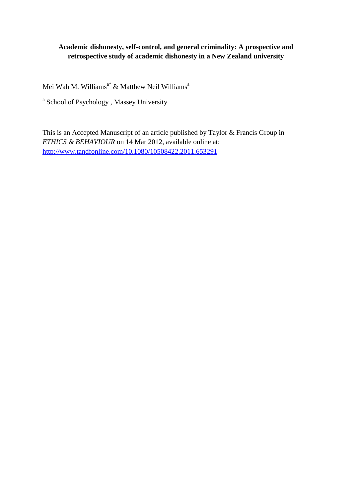# **Academic dishonesty, self-control, and general criminality: A prospective and retrospective study of academic dishonesty in a New Zealand university**

Mei Wah M. Williams<sup>a\*</sup> & Matthew Neil Williams<sup>a</sup>

a School of Psychology, Massey University

This is an Accepted Manuscript of an article published by Taylor & Francis Group in *ETHICS & BEHAVIOUR* on 14 Mar 2012, available online at: <http://www.tandfonline.com/10.1080/10508422.2011.653291>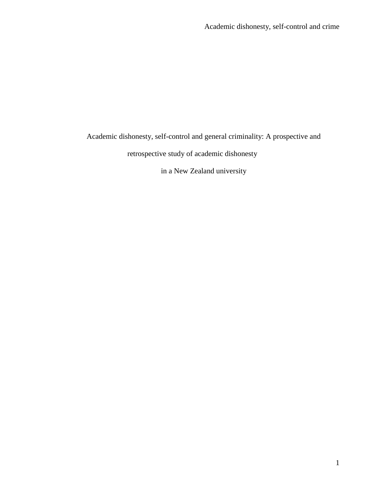Academic dishonesty, self-control and general criminality: A prospective and

retrospective study of academic dishonesty

in a New Zealand university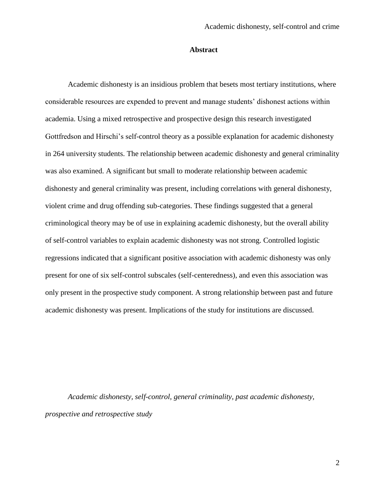## **Abstract**

Academic dishonesty is an insidious problem that besets most tertiary institutions, where considerable resources are expended to prevent and manage students" dishonest actions within academia. Using a mixed retrospective and prospective design this research investigated Gottfredson and Hirschi"s self-control theory as a possible explanation for academic dishonesty in 264 university students. The relationship between academic dishonesty and general criminality was also examined. A significant but small to moderate relationship between academic dishonesty and general criminality was present, including correlations with general dishonesty, violent crime and drug offending sub-categories. These findings suggested that a general criminological theory may be of use in explaining academic dishonesty, but the overall ability of self-control variables to explain academic dishonesty was not strong. Controlled logistic regressions indicated that a significant positive association with academic dishonesty was only present for one of six self-control subscales (self-centeredness), and even this association was only present in the prospective study component. A strong relationship between past and future academic dishonesty was present. Implications of the study for institutions are discussed.

*Academic dishonesty, self-control, general criminality, past academic dishonesty, prospective and retrospective study*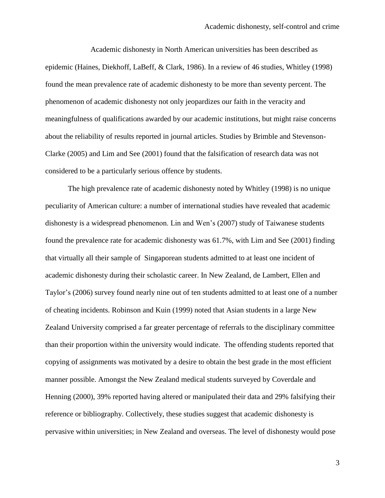Academic dishonesty in North American universities has been described as epidemic (Haines, Diekhoff, LaBeff, & Clark, 1986). In a review of 46 studies, Whitley (1998) found the mean prevalence rate of academic dishonesty to be more than seventy percent. The phenomenon of academic dishonesty not only jeopardizes our faith in the veracity and meaningfulness of qualifications awarded by our academic institutions, but might raise concerns about the reliability of results reported in journal articles. Studies by Brimble and Stevenson-Clarke (2005) and Lim and See (2001) found that the falsification of research data was not considered to be a particularly serious offence by students.

The high prevalence rate of academic dishonesty noted by Whitley (1998) is no unique peculiarity of American culture: a number of international studies have revealed that academic dishonesty is a widespread phenomenon. Lin and Wen's (2007) study of Taiwanese students found the prevalence rate for academic dishonesty was 61.7%, with Lim and See (2001) finding that virtually all their sample of Singaporean students admitted to at least one incident of academic dishonesty during their scholastic career. In New Zealand, de Lambert, Ellen and Taylor"s (2006) survey found nearly nine out of ten students admitted to at least one of a number of cheating incidents. Robinson and Kuin (1999) noted that Asian students in a large New Zealand University comprised a far greater percentage of referrals to the disciplinary committee than their proportion within the university would indicate. The offending students reported that copying of assignments was motivated by a desire to obtain the best grade in the most efficient manner possible. Amongst the New Zealand medical students surveyed by Coverdale and Henning (2000), 39% reported having altered or manipulated their data and 29% falsifying their reference or bibliography. Collectively, these studies suggest that academic dishonesty is pervasive within universities; in New Zealand and overseas. The level of dishonesty would pose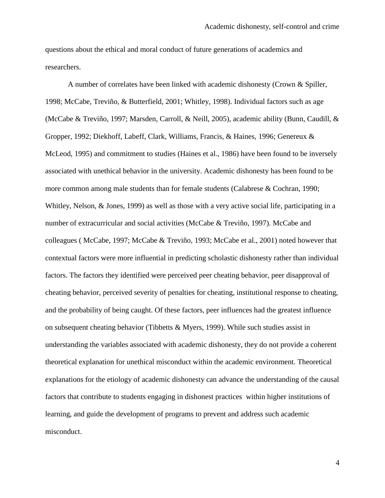questions about the ethical and moral conduct of future generations of academics and researchers.

A number of correlates have been linked with academic dishonesty (Crown & Spiller, 1998; McCabe, Treviño, & Butterfield, 2001; Whitley, 1998). Individual factors such as age (McCabe & Treviño, 1997; Marsden, Carroll, & Neill, 2005), academic ability (Bunn, Caudill, & Gropper, 1992; Diekhoff, Labeff, Clark, Williams, Francis, & Haines, 1996; Genereux & McLeod, 1995) and commitment to studies (Haines et al., 1986) have been found to be inversely associated with unethical behavior in the university. Academic dishonesty has been found to be more common among male students than for female students (Calabrese & Cochran, 1990; Whitley, Nelson, & Jones, 1999) as well as those with a very active social life, participating in a number of extracurricular and social activities (McCabe & Treviño, 1997). McCabe and colleagues ( McCabe, 1997; McCabe & Treviño, 1993; McCabe et al., 2001) noted however that contextual factors were more influential in predicting scholastic dishonesty rather than individual factors. The factors they identified were perceived peer cheating behavior, peer disapproval of cheating behavior, perceived severity of penalties for cheating, institutional response to cheating, and the probability of being caught. Of these factors, peer influences had the greatest influence on subsequent cheating behavior (Tibbetts & Myers, 1999). While such studies assist in understanding the variables associated with academic dishonesty, they do not provide a coherent theoretical explanation for unethical misconduct within the academic environment. Theoretical explanations for the etiology of academic dishonesty can advance the understanding of the causal factors that contribute to students engaging in dishonest practices within higher institutions of learning, and guide the development of programs to prevent and address such academic misconduct.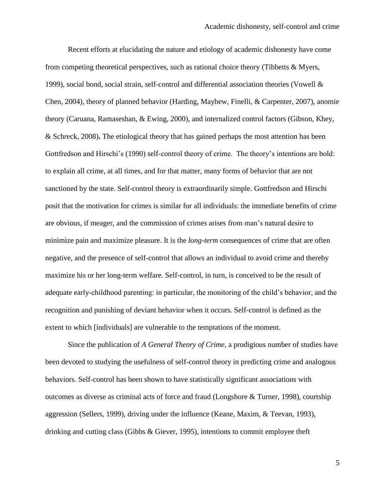Recent efforts at elucidating the nature and etiology of academic dishonesty have come from competing theoretical perspectives, such as rational choice theory (Tibbetts & Myers, 1999), social bond, social strain, self-control and differential association theories (Vowell & Chen, 2004), theory of planned behavior (Harding, Mayhew, Finelli, & Carpenter, 2007), anomie theory (Caruana, Ramaseshan, & Ewing, 2000), and internalized control factors (Gibson, Khey, & Schreck, 2008)**.** The etiological theory that has gained perhaps the most attention has been Gottfredson and Hirschi's (1990) self-control theory of crime. The theory's intentions are bold: to explain all crime, at all times, and for that matter, many forms of behavior that are not sanctioned by the state. Self-control theory is extraordinarily simple. Gottfredson and Hirschi posit that the motivation for crimes is similar for all individuals: the immediate benefits of crime are obvious, if meager, and the commission of crimes arises from man"s natural desire to minimize pain and maximize pleasure. It is the *long-term* consequences of crime that are often negative, and the presence of self-control that allows an individual to avoid crime and thereby maximize his or her long-term welfare. Self-control, in turn, is conceived to be the result of adequate early-childhood parenting: in particular, the monitoring of the child"s behavior, and the recognition and punishing of deviant behavior when it occurs. Self-control is defined as the extent to which [individuals] are vulnerable to the temptations of the moment.

Since the publication of *A General Theory of Crime*, a prodigious number of studies have been devoted to studying the usefulness of self-control theory in predicting crime and analogous behaviors. Self-control has been shown to have statistically significant associations with outcomes as diverse as criminal acts of force and fraud (Longshore & Turner, 1998), courtship aggression (Sellers, 1999), driving under the influence (Keane, Maxim, & Teevan, 1993), drinking and cutting class (Gibbs & Giever, 1995), intentions to commit employee theft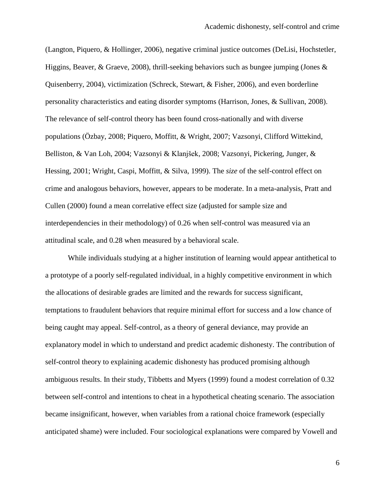(Langton, Piquero, & Hollinger, 2006), negative criminal justice outcomes (DeLisi, Hochstetler, Higgins, Beaver, & Graeve, 2008), thrill-seeking behaviors such as bungee jumping (Jones  $\&$ Quisenberry, 2004), victimization (Schreck, Stewart, & Fisher, 2006), and even borderline personality characteristics and eating disorder symptoms (Harrison, Jones, & Sullivan, 2008). The relevance of self-control theory has been found cross-nationally and with diverse populations (Özbay, 2008; Piquero, Moffitt, & Wright, 2007; Vazsonyi, Clifford Wittekind, Belliston, & Van Loh, 2004; Vazsonyi & Klanjšek, 2008; Vazsonyi, Pickering, Junger, & Hessing, 2001; Wright, Caspi, Moffitt, & Silva, 1999). The *size* of the self-control effect on crime and analogous behaviors, however, appears to be moderate. In a meta-analysis, Pratt and Cullen (2000) found a mean correlative effect size (adjusted for sample size and interdependencies in their methodology) of 0.26 when self-control was measured via an attitudinal scale, and 0.28 when measured by a behavioral scale.

While individuals studying at a higher institution of learning would appear antithetical to a prototype of a poorly self-regulated individual, in a highly competitive environment in which the allocations of desirable grades are limited and the rewards for success significant, temptations to fraudulent behaviors that require minimal effort for success and a low chance of being caught may appeal. Self-control, as a theory of general deviance, may provide an explanatory model in which to understand and predict academic dishonesty. The contribution of self-control theory to explaining academic dishonesty has produced promising although ambiguous results. In their study, Tibbetts and Myers (1999) found a modest correlation of 0.32 between self-control and intentions to cheat in a hypothetical cheating scenario. The association became insignificant, however, when variables from a rational choice framework (especially anticipated shame) were included. Four sociological explanations were compared by Vowell and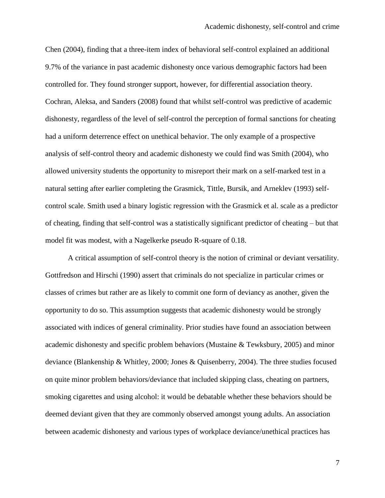Chen (2004), finding that a three-item index of behavioral self-control explained an additional 9.7% of the variance in past academic dishonesty once various demographic factors had been controlled for. They found stronger support, however, for differential association theory. Cochran, Aleksa, and Sanders (2008) found that whilst self-control was predictive of academic dishonesty, regardless of the level of self-control the perception of formal sanctions for cheating had a uniform deterrence effect on unethical behavior. The only example of a prospective analysis of self-control theory and academic dishonesty we could find was Smith (2004), who allowed university students the opportunity to misreport their mark on a self-marked test in a natural setting after earlier completing the Grasmick, Tittle, Bursik, and Arneklev (1993) selfcontrol scale. Smith used a binary logistic regression with the Grasmick et al. scale as a predictor of cheating, finding that self-control was a statistically significant predictor of cheating – but that model fit was modest, with a Nagelkerke pseudo R-square of 0.18.

A critical assumption of self-control theory is the notion of criminal or deviant versatility. Gottfredson and Hirschi (1990) assert that criminals do not specialize in particular crimes or classes of crimes but rather are as likely to commit one form of deviancy as another, given the opportunity to do so. This assumption suggests that academic dishonesty would be strongly associated with indices of general criminality. Prior studies have found an association between academic dishonesty and specific problem behaviors (Mustaine & Tewksbury, 2005) and minor deviance (Blankenship & Whitley, 2000; Jones & Quisenberry, 2004). The three studies focused on quite minor problem behaviors/deviance that included skipping class, cheating on partners, smoking cigarettes and using alcohol: it would be debatable whether these behaviors should be deemed deviant given that they are commonly observed amongst young adults. An association between academic dishonesty and various types of workplace deviance/unethical practices has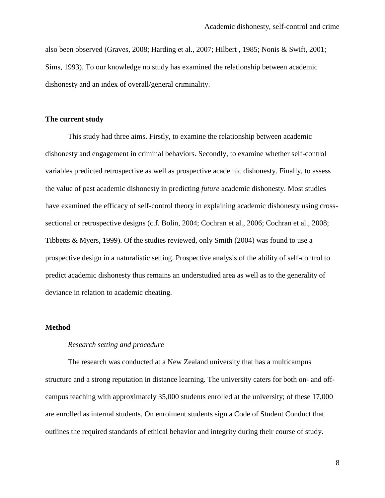also been observed (Graves, 2008; Harding et al., 2007; Hilbert , 1985; Nonis & Swift, 2001; Sims, 1993). To our knowledge no study has examined the relationship between academic dishonesty and an index of overall/general criminality.

## **The current study**

This study had three aims. Firstly, to examine the relationship between academic dishonesty and engagement in criminal behaviors. Secondly, to examine whether self-control variables predicted retrospective as well as prospective academic dishonesty. Finally, to assess the value of past academic dishonesty in predicting *future* academic dishonesty. Most studies have examined the efficacy of self-control theory in explaining academic dishonesty using crosssectional or retrospective designs (c.f. Bolin, 2004; Cochran et al., 2006; Cochran et al., 2008; Tibbetts & Myers, 1999). Of the studies reviewed, only Smith (2004) was found to use a prospective design in a naturalistic setting. Prospective analysis of the ability of self-control to predict academic dishonesty thus remains an understudied area as well as to the generality of deviance in relation to academic cheating.

### **Method**

## *Research setting and procedure*

The research was conducted at a New Zealand university that has a multicampus structure and a strong reputation in distance learning. The university caters for both on- and offcampus teaching with approximately 35,000 students enrolled at the university; of these 17,000 are enrolled as internal students. On enrolment students sign a Code of Student Conduct that outlines the required standards of ethical behavior and integrity during their course of study.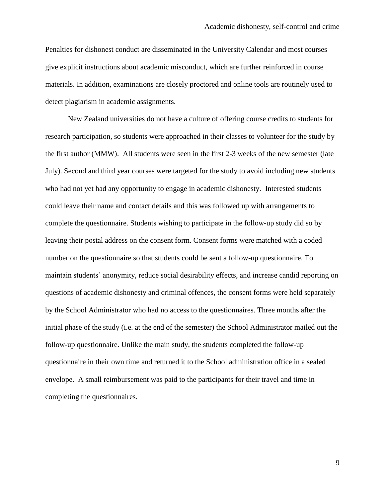Penalties for dishonest conduct are disseminated in the University Calendar and most courses give explicit instructions about academic misconduct, which are further reinforced in course materials. In addition, examinations are closely proctored and online tools are routinely used to detect plagiarism in academic assignments.

New Zealand universities do not have a culture of offering course credits to students for research participation, so students were approached in their classes to volunteer for the study by the first author (MMW). All students were seen in the first 2-3 weeks of the new semester (late July). Second and third year courses were targeted for the study to avoid including new students who had not yet had any opportunity to engage in academic dishonesty. Interested students could leave their name and contact details and this was followed up with arrangements to complete the questionnaire. Students wishing to participate in the follow-up study did so by leaving their postal address on the consent form. Consent forms were matched with a coded number on the questionnaire so that students could be sent a follow-up questionnaire. To maintain students' anonymity, reduce social desirability effects, and increase candid reporting on questions of academic dishonesty and criminal offences, the consent forms were held separately by the School Administrator who had no access to the questionnaires. Three months after the initial phase of the study (i.e. at the end of the semester) the School Administrator mailed out the follow-up questionnaire. Unlike the main study, the students completed the follow-up questionnaire in their own time and returned it to the School administration office in a sealed envelope. A small reimbursement was paid to the participants for their travel and time in completing the questionnaires.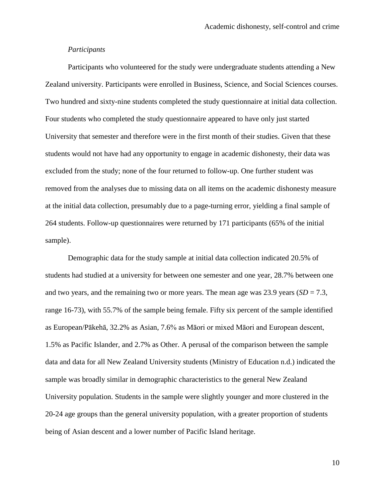## *Participants*

Participants who volunteered for the study were undergraduate students attending a New Zealand university. Participants were enrolled in Business, Science, and Social Sciences courses. Two hundred and sixty-nine students completed the study questionnaire at initial data collection. Four students who completed the study questionnaire appeared to have only just started University that semester and therefore were in the first month of their studies. Given that these students would not have had any opportunity to engage in academic dishonesty, their data was excluded from the study; none of the four returned to follow-up. One further student was removed from the analyses due to missing data on all items on the academic dishonesty measure at the initial data collection, presumably due to a page-turning error, yielding a final sample of 264 students. Follow-up questionnaires were returned by 171 participants (65% of the initial sample).

Demographic data for the study sample at initial data collection indicated 20.5% of students had studied at a university for between one semester and one year, 28.7% between one and two years, and the remaining two or more years. The mean age was 23.9 years  $(SD = 7.3,$ range 16-73), with 55.7% of the sample being female. Fifty six percent of the sample identified as European/Pākehā, 32.2% as Asian, 7.6% as Māori or mixed Māori and European descent, 1.5% as Pacific Islander, and 2.7% as Other. A perusal of the comparison between the sample data and data for all New Zealand University students (Ministry of Education n.d.) indicated the sample was broadly similar in demographic characteristics to the general New Zealand University population. Students in the sample were slightly younger and more clustered in the 20-24 age groups than the general university population, with a greater proportion of students being of Asian descent and a lower number of Pacific Island heritage.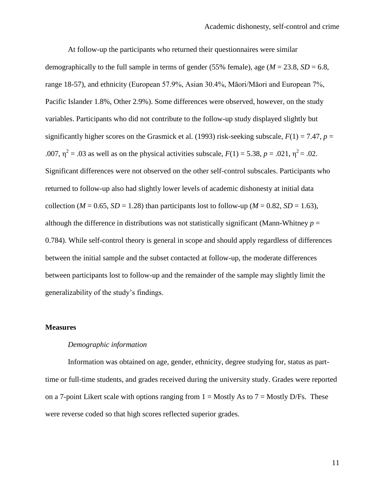At follow-up the participants who returned their questionnaires were similar demographically to the full sample in terms of gender (55% female), age ( $M = 23.8$ ,  $SD = 6.8$ , range 18-57), and ethnicity (European 57.9%, Asian 30.4%, Māori/Māori and European 7%, Pacific Islander 1.8%, Other 2.9%). Some differences were observed, however, on the study variables. Participants who did not contribute to the follow-up study displayed slightly but significantly higher scores on the Grasmick et al. (1993) risk-seeking subscale,  $F(1) = 7.47$ ,  $p =$ .007,  $\eta^2 = .03$  as well as on the physical activities subscale,  $F(1) = 5.38$ ,  $p = .021$ ,  $\eta^2 = .02$ . Significant differences were not observed on the other self-control subscales. Participants who returned to follow-up also had slightly lower levels of academic dishonesty at initial data collection ( $M = 0.65$ ,  $SD = 1.28$ ) than participants lost to follow-up ( $M = 0.82$ ,  $SD = 1.63$ ), although the difference in distributions was not statistically significant (Mann-Whitney  $p =$ 0.784). While self-control theory is general in scope and should apply regardless of differences between the initial sample and the subset contacted at follow-up, the moderate differences between participants lost to follow-up and the remainder of the sample may slightly limit the generalizability of the study"s findings.

### **Measures**

#### *Demographic information*

Information was obtained on age, gender, ethnicity, degree studying for, status as parttime or full-time students, and grades received during the university study. Grades were reported on a 7-point Likert scale with options ranging from  $1 =$  Mostly As to  $7 =$  Mostly D/Fs. These were reverse coded so that high scores reflected superior grades.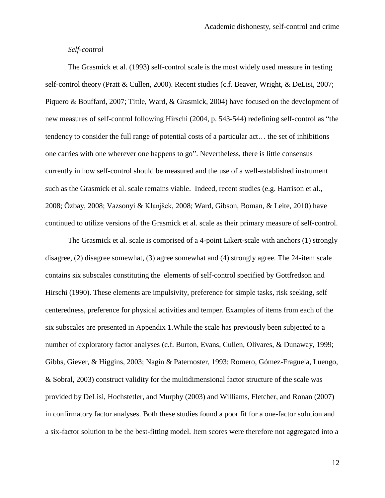## *Self-control*

The Grasmick et al. (1993) self-control scale is the most widely used measure in testing self-control theory (Pratt & Cullen, 2000). Recent studies (c.f. Beaver, Wright, & DeLisi, 2007; Piquero & Bouffard, 2007; Tittle, Ward, & Grasmick, 2004) have focused on the development of new measures of self-control following Hirschi (2004, p. 543-544) redefining self-control as "the tendency to consider the full range of potential costs of a particular act… the set of inhibitions one carries with one wherever one happens to go". Nevertheless, there is little consensus currently in how self-control should be measured and the use of a well-established instrument such as the Grasmick et al. scale remains viable. Indeed, recent studies (e.g. Harrison et al., 2008; Özbay, 2008; Vazsonyi & Klanjšek, 2008; Ward, Gibson, Boman, & Leite, 2010) have continued to utilize versions of the Grasmick et al. scale as their primary measure of self-control.

The Grasmick et al. scale is comprised of a 4-point Likert-scale with anchors (1) strongly disagree, (2) disagree somewhat, (3) agree somewhat and (4) strongly agree. The 24-item scale contains six subscales constituting the elements of self-control specified by Gottfredson and Hirschi (1990). These elements are impulsivity, preference for simple tasks, risk seeking, self centeredness, preference for physical activities and temper. Examples of items from each of the six subscales are presented in Appendix 1.While the scale has previously been subjected to a number of exploratory factor analyses (c.f. Burton, Evans, Cullen, Olivares, & Dunaway, 1999; Gibbs, Giever, & Higgins, 2003; Nagin & Paternoster, 1993; Romero, Gómez-Fraguela, Luengo, & Sobral, 2003) construct validity for the multidimensional factor structure of the scale was provided by DeLisi, Hochstetler, and Murphy (2003) and Williams, Fletcher, and Ronan (2007) in confirmatory factor analyses. Both these studies found a poor fit for a one-factor solution and a six-factor solution to be the best-fitting model. Item scores were therefore not aggregated into a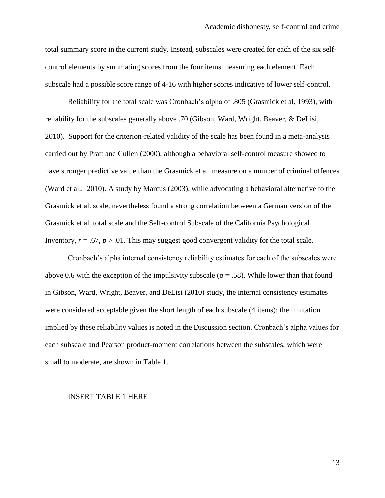total summary score in the current study. Instead, subscales were created for each of the six selfcontrol elements by summating scores from the four items measuring each element. Each subscale had a possible score range of 4-16 with higher scores indicative of lower self-control.

Reliability for the total scale was Cronbach"s alpha of .805 (Grasmick et al, 1993), with reliability for the subscales generally above .70 (Gibson, Ward, Wright, Beaver, & DeLisi, 2010). Support for the criterion-related validity of the scale has been found in a meta-analysis carried out by Pratt and Cullen (2000), although a behavioral self-control measure showed to have stronger predictive value than the Grasmick et al. measure on a number of criminal offences (Ward et al., 2010). A study by Marcus (2003), while advocating a behavioral alternative to the Grasmick et al. scale, nevertheless found a strong correlation between a German version of the Grasmick et al. total scale and the Self-control Subscale of the California Psychological Inventory,  $r = .67$ ,  $p > .01$ . This may suggest good convergent validity for the total scale.

Cronbach"s alpha internal consistency reliability estimates for each of the subscales were above 0.6 with the exception of the impulsivity subscale ( $\alpha$  = .58). While lower than that found in Gibson, Ward, Wright, Beaver, and DeLisi (2010) study, the internal consistency estimates were considered acceptable given the short length of each subscale (4 items); the limitation implied by these reliability values is noted in the Discussion section. Cronbach's alpha values for each subscale and Pearson product-moment correlations between the subscales, which were small to moderate, are shown in Table 1.

#### INSERT TABLE 1 HERE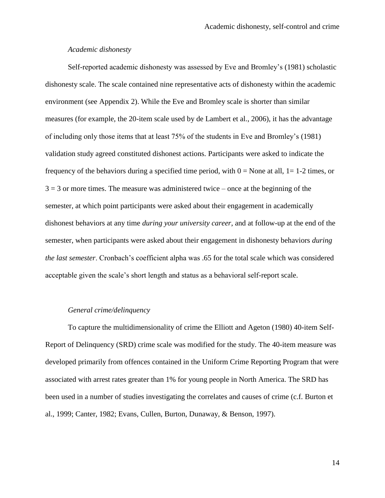## *Academic dishonesty*

Self-reported academic dishonesty was assessed by Eve and Bromley"s (1981) scholastic dishonesty scale. The scale contained nine representative acts of dishonesty within the academic environment (see Appendix 2). While the Eve and Bromley scale is shorter than similar measures (for example, the 20-item scale used by de Lambert et al., 2006), it has the advantage of including only those items that at least 75% of the students in Eve and Bromley"s (1981) validation study agreed constituted dishonest actions. Participants were asked to indicate the frequency of the behaviors during a specified time period, with  $0 =$  None at all,  $1 = 1-2$  times, or  $3 = 3$  or more times. The measure was administered twice – once at the beginning of the semester, at which point participants were asked about their engagement in academically dishonest behaviors at any time *during your university career*, and at follow-up at the end of the semester, when participants were asked about their engagement in dishonesty behaviors *during the last semester*. Cronbach"s coefficient alpha was .65 for the total scale which was considered acceptable given the scale"s short length and status as a behavioral self-report scale.

## *General crime/delinquency*

To capture the multidimensionality of crime the Elliott and Ageton (1980) 40-item Self-Report of Delinquency (SRD) crime scale was modified for the study. The 40-item measure was developed primarily from offences contained in the Uniform Crime Reporting Program that were associated with arrest rates greater than 1% for young people in North America. The SRD has been used in a number of studies investigating the correlates and causes of crime (c.f. Burton et al., 1999; Canter, 1982; Evans, Cullen, Burton, Dunaway, & Benson, 1997).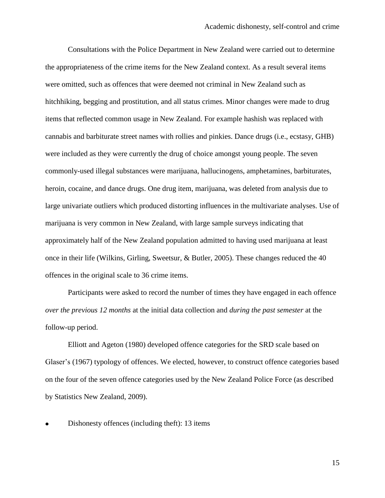Consultations with the Police Department in New Zealand were carried out to determine the appropriateness of the crime items for the New Zealand context. As a result several items were omitted, such as offences that were deemed not criminal in New Zealand such as hitchhiking, begging and prostitution, and all status crimes. Minor changes were made to drug items that reflected common usage in New Zealand. For example hashish was replaced with cannabis and barbiturate street names with rollies and pinkies. Dance drugs (i.e., ecstasy, GHB) were included as they were currently the drug of choice amongst young people. The seven commonly-used illegal substances were marijuana, hallucinogens, amphetamines, barbiturates, heroin, cocaine, and dance drugs. One drug item, marijuana, was deleted from analysis due to large univariate outliers which produced distorting influences in the multivariate analyses. Use of marijuana is very common in New Zealand, with large sample surveys indicating that approximately half of the New Zealand population admitted to having used marijuana at least once in their life (Wilkins, Girling, Sweetsur, & Butler, 2005). These changes reduced the 40 offences in the original scale to 36 crime items.

Participants were asked to record the number of times they have engaged in each offence *over the previous 12 months* at the initial data collection and *during the past semester* at the follow-up period.

Elliott and Ageton (1980) developed offence categories for the SRD scale based on Glaser"s (1967) typology of offences. We elected, however, to construct offence categories based on the four of the seven offence categories used by the New Zealand Police Force (as described by Statistics New Zealand, 2009).

Dishonesty offences (including theft): 13 items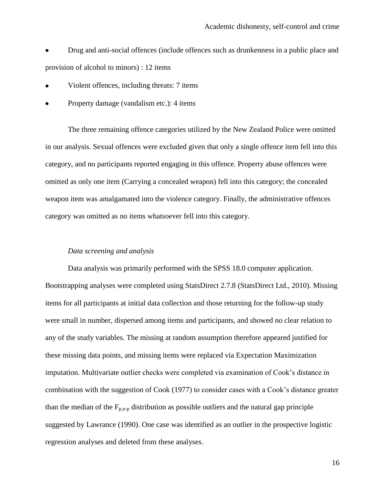- Drug and anti-social offences (include offences such as drunkenness in a public place and provision of alcohol to minors) : 12 items
- Violent offences, including threats: 7 items
- Property damage (vandalism etc.): 4 items

The three remaining offence categories utilized by the New Zealand Police were omitted in our analysis. Sexual offences were excluded given that only a single offence item fell into this category, and no participants reported engaging in this offence. Property abuse offences were omitted as only one item (Carrying a concealed weapon) fell into this category; the concealed weapon item was amalgamated into the violence category. Finally, the administrative offences category was omitted as no items whatsoever fell into this category.

#### *Data screening and analysis*

Data analysis was primarily performed with the SPSS 18.0 computer application. Bootstrapping analyses were completed using StatsDirect 2.7.8 (StatsDirect Ltd., 2010). Missing items for all participants at initial data collection and those returning for the follow-up study were small in number, dispersed among items and participants, and showed no clear relation to any of the study variables. The missing at random assumption therefore appeared justified for these missing data points, and missing items were replaced via Expectation Maximization imputation. Multivariate outlier checks were completed via examination of Cook"s distance in combination with the suggestion of Cook (1977) to consider cases with a Cook"s distance greater than the median of the  $F_{p,n-p}$  distribution as possible outliers and the natural gap principle suggested by Lawrance (1990). One case was identified as an outlier in the prospective logistic regression analyses and deleted from these analyses.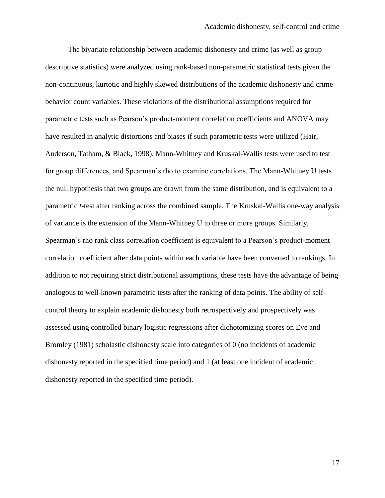The bivariate relationship between academic dishonesty and crime (as well as group descriptive statistics) were analyzed using rank-based non-parametric statistical tests given the non-continuous, kurtotic and highly skewed distributions of the academic dishonesty and crime behavior count variables. These violations of the distributional assumptions required for parametric tests such as Pearson"s product-moment correlation coefficients and ANOVA may have resulted in analytic distortions and biases if such parametric tests were utilized (Hair, Anderson, Tatham, & Black, 1998). Mann-Whitney and Kruskal-Wallis tests were used to test for group differences, and Spearman"s rho to examine correlations. The Mann-Whitney U tests the null hypothesis that two groups are drawn from the same distribution, and is equivalent to a parametric *t*-test after ranking across the combined sample. The Kruskal-Wallis one-way analysis of variance is the extension of the Mann-Whitney U to three or more groups. Similarly, Spearman"s rho rank class correlation coefficient is equivalent to a Pearson"s product-moment correlation coefficient after data points within each variable have been converted to rankings. In addition to not requiring strict distributional assumptions, these tests have the advantage of being analogous to well-known parametric tests after the ranking of data points. The ability of selfcontrol theory to explain academic dishonesty both retrospectively and prospectively was assessed using controlled binary logistic regressions after dichotomizing scores on Eve and Bromley (1981) scholastic dishonesty scale into categories of 0 (no incidents of academic dishonesty reported in the specified time period) and 1 (at least one incident of academic dishonesty reported in the specified time period).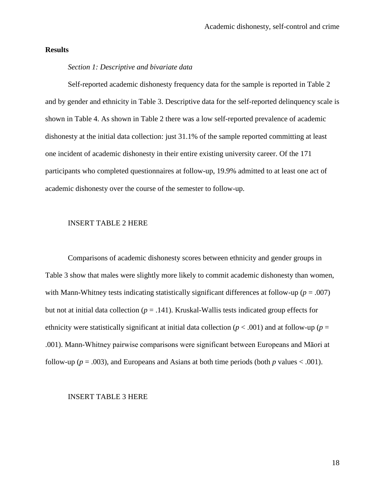# **Results**

## *Section 1: Descriptive and bivariate data*

Self-reported academic dishonesty frequency data for the sample is reported in Table 2 and by gender and ethnicity in Table 3. Descriptive data for the self-reported delinquency scale is shown in Table 4. As shown in Table 2 there was a low self-reported prevalence of academic dishonesty at the initial data collection: just 31.1% of the sample reported committing at least one incident of academic dishonesty in their entire existing university career. Of the 171 participants who completed questionnaires at follow-up, 19.9% admitted to at least one act of academic dishonesty over the course of the semester to follow-up.

#### INSERT TABLE 2 HERE

Comparisons of academic dishonesty scores between ethnicity and gender groups in Table 3 show that males were slightly more likely to commit academic dishonesty than women, with Mann-Whitney tests indicating statistically significant differences at follow-up (*p* = .007) but not at initial data collection ( $p = .141$ ). Kruskal-Wallis tests indicated group effects for ethnicity were statistically significant at initial data collection ( $p < .001$ ) and at follow-up ( $p =$ .001). Mann-Whitney pairwise comparisons were significant between Europeans and Māori at follow-up ( $p = .003$ ), and Europeans and Asians at both time periods (both  $p$  values  $\lt .001$ ).

#### INSERT TABLE 3 HERE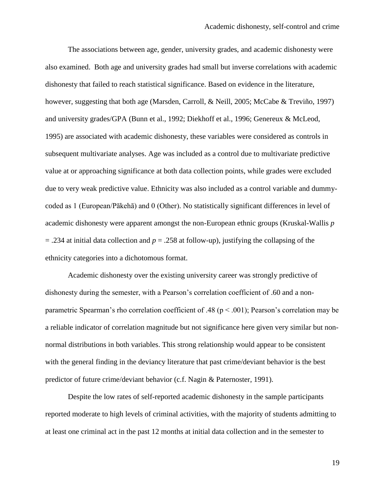The associations between age, gender, university grades, and academic dishonesty were also examined. Both age and university grades had small but inverse correlations with academic dishonesty that failed to reach statistical significance. Based on evidence in the literature, however, suggesting that both age (Marsden, Carroll, & Neill, 2005; McCabe & Treviño, 1997) and university grades/GPA (Bunn et al., 1992; Diekhoff et al., 1996; Genereux & McLeod, 1995) are associated with academic dishonesty, these variables were considered as controls in subsequent multivariate analyses. Age was included as a control due to multivariate predictive value at or approaching significance at both data collection points, while grades were excluded due to very weak predictive value. Ethnicity was also included as a control variable and dummycoded as 1 (European/Pākehā) and 0 (Other). No statistically significant differences in level of academic dishonesty were apparent amongst the non-European ethnic groups (Kruskal-Wallis *p*  $= .234$  at initial data collection and  $p = .258$  at follow-up), justifying the collapsing of the ethnicity categories into a dichotomous format.

Academic dishonesty over the existing university career was strongly predictive of dishonesty during the semester, with a Pearson"s correlation coefficient of .60 and a nonparametric Spearman's rho correlation coefficient of .48 ( $p < .001$ ); Pearson's correlation may be a reliable indicator of correlation magnitude but not significance here given very similar but nonnormal distributions in both variables. This strong relationship would appear to be consistent with the general finding in the deviancy literature that past crime/deviant behavior is the best predictor of future crime/deviant behavior (c.f. Nagin & Paternoster, 1991).

Despite the low rates of self-reported academic dishonesty in the sample participants reported moderate to high levels of criminal activities, with the majority of students admitting to at least one criminal act in the past 12 months at initial data collection and in the semester to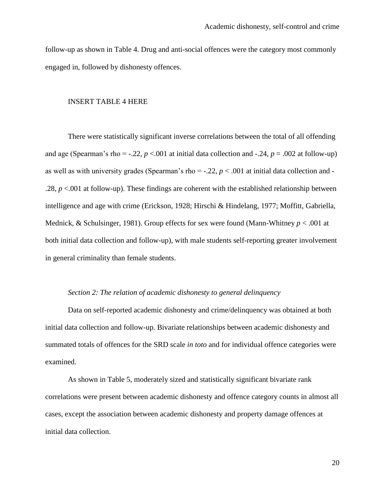follow-up as shown in Table 4. Drug and anti-social offences were the category most commonly engaged in, followed by dishonesty offences.

#### INSERT TABLE 4 HERE

There were statistically significant inverse correlations between the total of all offending and age (Spearman's rho =  $-0.22$ ,  $p < 0.001$  at initial data collection and  $-0.24$ ,  $p = 0.002$  at follow-up) as well as with university grades (Spearman's rho  $=$  -.22,  $p < .001$  at initial data collection and -.28,  $p < 0.001$  at follow-up). These findings are coherent with the established relationship between intelligence and age with crime (Erickson, 1928; Hirschi & Hindelang, 1977; Moffitt, Gabriella, Mednick, & Schulsinger, 1981). Group effects for sex were found (Mann-Whitney *p* < .001 at both initial data collection and follow-up), with male students self-reporting greater involvement in general criminality than female students.

## *Section 2: The relation of academic dishonesty to general delinquency*

Data on self-reported academic dishonesty and crime/delinquency was obtained at both initial data collection and follow-up. Bivariate relationships between academic dishonesty and summated totals of offences for the SRD scale *in toto* and for individual offence categories were examined.

As shown in Table 5, moderately sized and statistically significant bivariate rank correlations were present between academic dishonesty and offence category counts in almost all cases, except the association between academic dishonesty and property damage offences at initial data collection.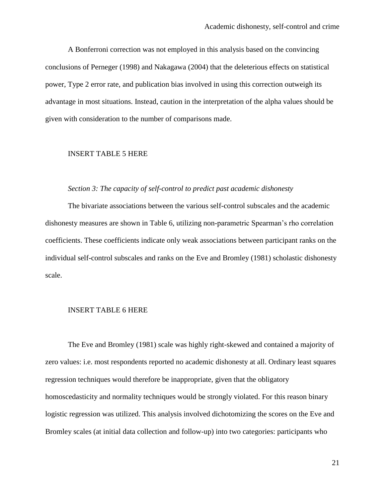A Bonferroni correction was not employed in this analysis based on the convincing conclusions of Perneger (1998) and Nakagawa (2004) that the deleterious effects on statistical power, Type 2 error rate, and publication bias involved in using this correction outweigh its advantage in most situations. Instead, caution in the interpretation of the alpha values should be given with consideration to the number of comparisons made.

#### INSERT TABLE 5 HERE

#### *Section 3: The capacity of self-control to predict past academic dishonesty*

The bivariate associations between the various self-control subscales and the academic dishonesty measures are shown in Table 6, utilizing non-parametric Spearman's rho correlation coefficients. These coefficients indicate only weak associations between participant ranks on the individual self-control subscales and ranks on the Eve and Bromley (1981) scholastic dishonesty scale.

#### INSERT TABLE 6 HERE

The Eve and Bromley (1981) scale was highly right-skewed and contained a majority of zero values: i.e. most respondents reported no academic dishonesty at all. Ordinary least squares regression techniques would therefore be inappropriate, given that the obligatory homoscedasticity and normality techniques would be strongly violated. For this reason binary logistic regression was utilized. This analysis involved dichotomizing the scores on the Eve and Bromley scales (at initial data collection and follow-up) into two categories: participants who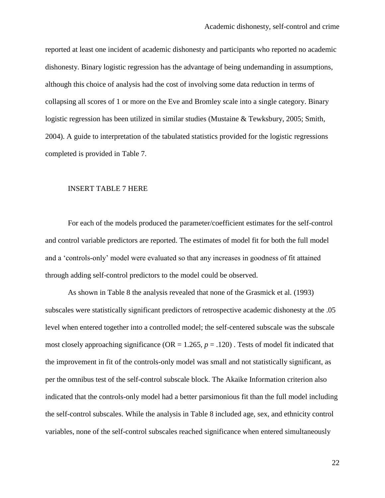reported at least one incident of academic dishonesty and participants who reported no academic dishonesty. Binary logistic regression has the advantage of being undemanding in assumptions, although this choice of analysis had the cost of involving some data reduction in terms of collapsing all scores of 1 or more on the Eve and Bromley scale into a single category. Binary logistic regression has been utilized in similar studies (Mustaine & Tewksbury, 2005; Smith, 2004). A guide to interpretation of the tabulated statistics provided for the logistic regressions completed is provided in Table 7.

#### INSERT TABLE 7 HERE

For each of the models produced the parameter/coefficient estimates for the self-control and control variable predictors are reported. The estimates of model fit for both the full model and a "controls-only" model were evaluated so that any increases in goodness of fit attained through adding self-control predictors to the model could be observed.

As shown in Table 8 the analysis revealed that none of the Grasmick et al. (1993) subscales were statistically significant predictors of retrospective academic dishonesty at the .05 level when entered together into a controlled model; the self-centered subscale was the subscale most closely approaching significance ( $OR = 1.265$ ,  $p = .120$ ). Tests of model fit indicated that the improvement in fit of the controls-only model was small and not statistically significant, as per the omnibus test of the self-control subscale block. The Akaike Information criterion also indicated that the controls-only model had a better parsimonious fit than the full model including the self-control subscales. While the analysis in Table 8 included age, sex, and ethnicity control variables, none of the self-control subscales reached significance when entered simultaneously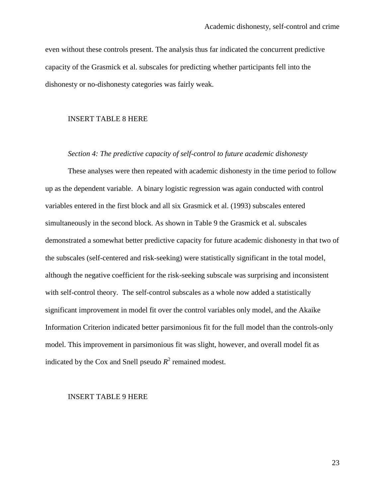even without these controls present. The analysis thus far indicated the concurrent predictive capacity of the Grasmick et al. subscales for predicting whether participants fell into the dishonesty or no-dishonesty categories was fairly weak.

#### INSERT TABLE 8 HERE

## *Section 4: The predictive capacity of self-control to future academic dishonesty*

These analyses were then repeated with academic dishonesty in the time period to follow up as the dependent variable. A binary logistic regression was again conducted with control variables entered in the first block and all six Grasmick et al. (1993) subscales entered simultaneously in the second block. As shown in Table 9 the Grasmick et al. subscales demonstrated a somewhat better predictive capacity for future academic dishonesty in that two of the subscales (self-centered and risk-seeking) were statistically significant in the total model, although the negative coefficient for the risk-seeking subscale was surprising and inconsistent with self-control theory. The self-control subscales as a whole now added a statistically significant improvement in model fit over the control variables only model, and the Akaike Information Criterion indicated better parsimonious fit for the full model than the controls-only model. This improvement in parsimonious fit was slight, however, and overall model fit as indicated by the Cox and Snell pseudo  $R^2$  remained modest.

#### INSERT TABLE 9 HERE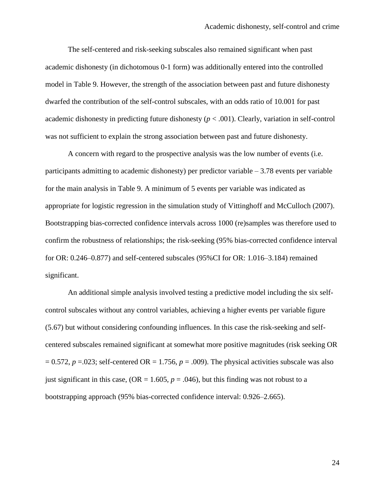The self-centered and risk-seeking subscales also remained significant when past academic dishonesty (in dichotomous 0-1 form) was additionally entered into the controlled model in Table 9. However, the strength of the association between past and future dishonesty dwarfed the contribution of the self-control subscales, with an odds ratio of 10.001 for past academic dishonesty in predicting future dishonesty  $(p < .001)$ . Clearly, variation in self-control was not sufficient to explain the strong association between past and future dishonesty.

A concern with regard to the prospective analysis was the low number of events (i.e. participants admitting to academic dishonesty) per predictor variable – 3.78 events per variable for the main analysis in Table 9. A minimum of 5 events per variable was indicated as appropriate for logistic regression in the simulation study of Vittinghoff and McCulloch (2007). Bootstrapping bias-corrected confidence intervals across 1000 (re)samples was therefore used to confirm the robustness of relationships; the risk-seeking (95% bias-corrected confidence interval for OR: 0.246–0.877) and self-centered subscales (95%CI for OR: 1.016–3.184) remained significant.

An additional simple analysis involved testing a predictive model including the six selfcontrol subscales without any control variables, achieving a higher events per variable figure (5.67) but without considering confounding influences. In this case the risk-seeking and selfcentered subscales remained significant at somewhat more positive magnitudes (risk seeking OR  $= 0.572$ ,  $p = 0.023$ ; self-centered OR  $= 1.756$ ,  $p = 0.009$ ). The physical activities subscale was also just significant in this case,  $(OR = 1.605, p = .046)$ , but this finding was not robust to a bootstrapping approach (95% bias-corrected confidence interval: 0.926–2.665).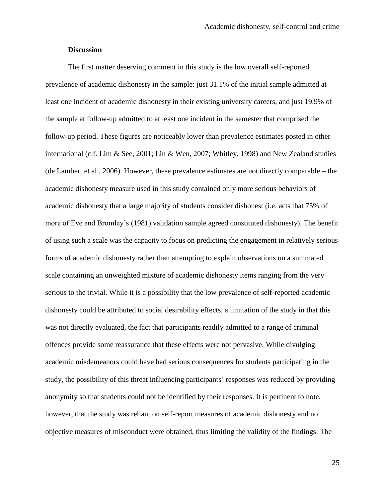### **Discussion**

The first matter deserving comment in this study is the low overall self-reported prevalence of academic dishonesty in the sample: just 31.1% of the initial sample admitted at least one incident of academic dishonesty in their existing university careers, and just 19.9% of the sample at follow-up admitted to at least one incident in the semester that comprised the follow-up period. These figures are noticeably lower than prevalence estimates posted in other international (c.f. Lim & See, 2001; Lin & Wen, 2007; Whitley, 1998) and New Zealand studies (de Lambert et al., 2006). However, these prevalence estimates are not directly comparable – the academic dishonesty measure used in this study contained only more serious behaviors of academic dishonesty that a large majority of students consider dishonest (i.e. acts that 75% of more of Eve and Bromley"s (1981) validation sample agreed constituted dishonesty). The benefit of using such a scale was the capacity to focus on predicting the engagement in relatively serious forms of academic dishonesty rather than attempting to explain observations on a summated scale containing an unweighted mixture of academic dishonesty items ranging from the very serious to the trivial. While it is a possibility that the low prevalence of self-reported academic dishonesty could be attributed to social desirability effects, a limitation of the study in that this was not directly evaluated, the fact that participants readily admitted to a range of criminal offences provide some reassurance that these effects were not pervasive. While divulging academic misdemeanors could have had serious consequences for students participating in the study, the possibility of this threat influencing participants' responses was reduced by providing anonymity so that students could not be identified by their responses. It is pertinent to note, however, that the study was reliant on self-report measures of academic dishonesty and no objective measures of misconduct were obtained, thus limiting the validity of the findings. The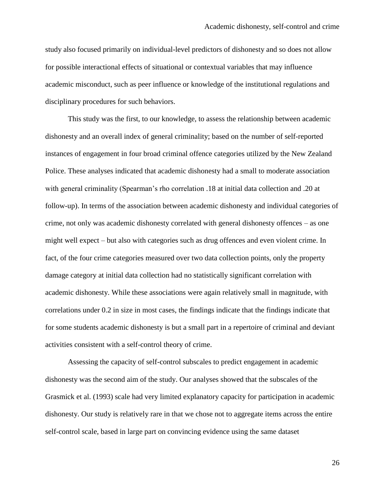study also focused primarily on individual-level predictors of dishonesty and so does not allow for possible interactional effects of situational or contextual variables that may influence academic misconduct, such as peer influence or knowledge of the institutional regulations and disciplinary procedures for such behaviors.

This study was the first, to our knowledge, to assess the relationship between academic dishonesty and an overall index of general criminality; based on the number of self-reported instances of engagement in four broad criminal offence categories utilized by the New Zealand Police. These analyses indicated that academic dishonesty had a small to moderate association with general criminality (Spearman"s rho correlation .18 at initial data collection and .20 at follow-up). In terms of the association between academic dishonesty and individual categories of crime, not only was academic dishonesty correlated with general dishonesty offences – as one might well expect – but also with categories such as drug offences and even violent crime. In fact, of the four crime categories measured over two data collection points, only the property damage category at initial data collection had no statistically significant correlation with academic dishonesty. While these associations were again relatively small in magnitude, with correlations under 0.2 in size in most cases, the findings indicate that the findings indicate that for some students academic dishonesty is but a small part in a repertoire of criminal and deviant activities consistent with a self-control theory of crime.

Assessing the capacity of self-control subscales to predict engagement in academic dishonesty was the second aim of the study. Our analyses showed that the subscales of the Grasmick et al. (1993) scale had very limited explanatory capacity for participation in academic dishonesty. Our study is relatively rare in that we chose not to aggregate items across the entire self-control scale, based in large part on convincing evidence using the same dataset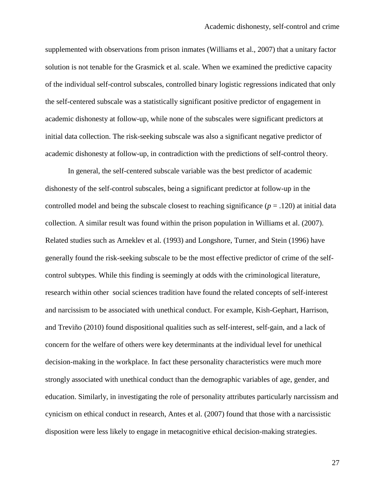supplemented with observations from prison inmates (Williams et al., 2007) that a unitary factor solution is not tenable for the Grasmick et al. scale. When we examined the predictive capacity of the individual self-control subscales, controlled binary logistic regressions indicated that only the self-centered subscale was a statistically significant positive predictor of engagement in academic dishonesty at follow-up, while none of the subscales were significant predictors at initial data collection. The risk-seeking subscale was also a significant negative predictor of academic dishonesty at follow-up, in contradiction with the predictions of self-control theory.

In general, the self-centered subscale variable was the best predictor of academic dishonesty of the self-control subscales, being a significant predictor at follow-up in the controlled model and being the subscale closest to reaching significance  $(p = .120)$  at initial data collection. A similar result was found within the prison population in Williams et al. (2007). Related studies such as Arneklev et al. (1993) and Longshore, Turner, and Stein (1996) have generally found the risk-seeking subscale to be the most effective predictor of crime of the selfcontrol subtypes. While this finding is seemingly at odds with the criminological literature, research within other social sciences tradition have found the related concepts of self-interest and narcissism to be associated with unethical conduct. For example, Kish-Gephart, Harrison, and Treviño (2010) found dispositional qualities such as self-interest, self-gain, and a lack of concern for the welfare of others were key determinants at the individual level for unethical decision-making in the workplace. In fact these personality characteristics were much more strongly associated with unethical conduct than the demographic variables of age, gender, and education. Similarly, in investigating the role of personality attributes particularly narcissism and cynicism on ethical conduct in research, Antes et al. (2007) found that those with a narcissistic disposition were less likely to engage in metacognitive ethical decision-making strategies.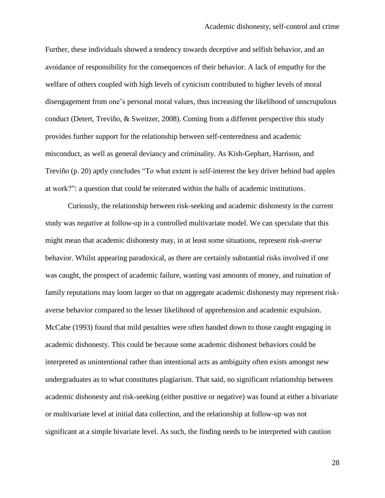Further, these individuals showed a tendency towards deceptive and selfish behavior, and an avoidance of responsibility for the consequences of their behavior. A lack of empathy for the welfare of others coupled with high levels of cynicism contributed to higher levels of moral disengagement from one"s personal moral values, thus increasing the likelihood of unscrupulous conduct (Detert, Treviño, & Sweitzer, 2008). Coming from a different perspective this study provides further support for the relationship between self-centeredness and academic misconduct, as well as general deviancy and criminality. As Kish-Gephart, Harrison, and Treviño (p. 20) aptly concludes "To what extent is self-interest the key driver behind bad apples at work?": a question that could be reiterated within the halls of academic institutions.

Curiously, the relationship between risk-seeking and academic dishonesty in the current study was *negative* at follow-up in a controlled multivariate model. We can speculate that this might mean that academic dishonesty may, in at least some situations, represent risk-*averse* behavior. Whilst appearing paradoxical, as there are certainly substantial risks involved if one was caught, the prospect of academic failure, wasting vast amounts of money, and ruination of family reputations may loom larger so that on aggregate academic dishonesty may represent riskaverse behavior compared to the lesser likelihood of apprehension and academic expulsion. McCabe (1993) found that mild penalties were often handed down to those caught engaging in academic dishonesty. This could be because some academic dishonest behaviors could be interpreted as unintentional rather than intentional acts as ambiguity often exists amongst new undergraduates as to what constitutes plagiarism. That said, no significant relationship between academic dishonesty and risk-seeking (either positive or negative) was found at either a bivariate or multivariate level at initial data collection, and the relationship at follow-up was not significant at a simple bivariate level. As such, the finding needs to be interpreted with caution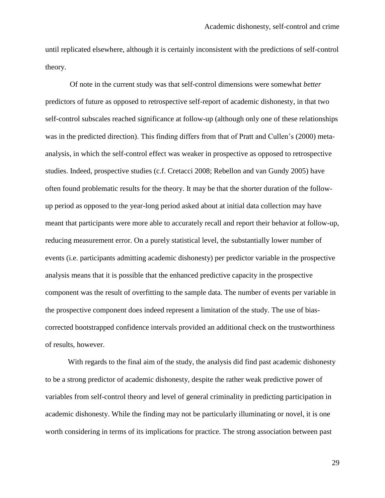until replicated elsewhere, although it is certainly inconsistent with the predictions of self-control theory.

Of note in the current study was that self-control dimensions were somewhat *better* predictors of future as opposed to retrospective self-report of academic dishonesty, in that two self-control subscales reached significance at follow-up (although only one of these relationships was in the predicted direction). This finding differs from that of Pratt and Cullen"s (2000) metaanalysis, in which the self-control effect was weaker in prospective as opposed to retrospective studies. Indeed, prospective studies (c.f. Cretacci 2008; Rebellon and van Gundy 2005) have often found problematic results for the theory. It may be that the shorter duration of the followup period as opposed to the year-long period asked about at initial data collection may have meant that participants were more able to accurately recall and report their behavior at follow-up, reducing measurement error. On a purely statistical level, the substantially lower number of events (i.e. participants admitting academic dishonesty) per predictor variable in the prospective analysis means that it is possible that the enhanced predictive capacity in the prospective component was the result of overfitting to the sample data. The number of events per variable in the prospective component does indeed represent a limitation of the study. The use of biascorrected bootstrapped confidence intervals provided an additional check on the trustworthiness of results, however.

With regards to the final aim of the study, the analysis did find past academic dishonesty to be a strong predictor of academic dishonesty, despite the rather weak predictive power of variables from self-control theory and level of general criminality in predicting participation in academic dishonesty. While the finding may not be particularly illuminating or novel, it is one worth considering in terms of its implications for practice. The strong association between past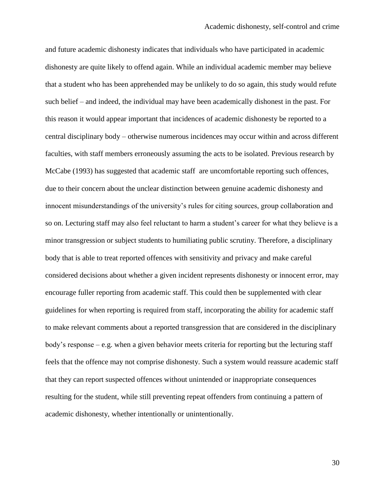and future academic dishonesty indicates that individuals who have participated in academic dishonesty are quite likely to offend again. While an individual academic member may believe that a student who has been apprehended may be unlikely to do so again, this study would refute such belief – and indeed, the individual may have been academically dishonest in the past. For this reason it would appear important that incidences of academic dishonesty be reported to a central disciplinary body – otherwise numerous incidences may occur within and across different faculties, with staff members erroneously assuming the acts to be isolated. Previous research by McCabe (1993) has suggested that academic staff are uncomfortable reporting such offences, due to their concern about the unclear distinction between genuine academic dishonesty and innocent misunderstandings of the university's rules for citing sources, group collaboration and so on. Lecturing staff may also feel reluctant to harm a student"s career for what they believe is a minor transgression or subject students to humiliating public scrutiny. Therefore, a disciplinary body that is able to treat reported offences with sensitivity and privacy and make careful considered decisions about whether a given incident represents dishonesty or innocent error, may encourage fuller reporting from academic staff. This could then be supplemented with clear guidelines for when reporting is required from staff, incorporating the ability for academic staff to make relevant comments about a reported transgression that are considered in the disciplinary body"s response – e.g. when a given behavior meets criteria for reporting but the lecturing staff feels that the offence may not comprise dishonesty. Such a system would reassure academic staff that they can report suspected offences without unintended or inappropriate consequences resulting for the student, while still preventing repeat offenders from continuing a pattern of academic dishonesty, whether intentionally or unintentionally.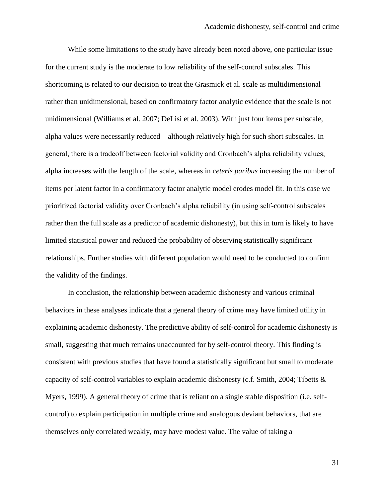While some limitations to the study have already been noted above, one particular issue for the current study is the moderate to low reliability of the self-control subscales. This shortcoming is related to our decision to treat the Grasmick et al. scale as multidimensional rather than unidimensional, based on confirmatory factor analytic evidence that the scale is not unidimensional (Williams et al. 2007; DeLisi et al. 2003). With just four items per subscale, alpha values were necessarily reduced – although relatively high for such short subscales. In general, there is a tradeoff between factorial validity and Cronbach"s alpha reliability values; alpha increases with the length of the scale, whereas in *ceteris paribus* increasing the number of items per latent factor in a confirmatory factor analytic model erodes model fit. In this case we prioritized factorial validity over Cronbach"s alpha reliability (in using self-control subscales rather than the full scale as a predictor of academic dishonesty), but this in turn is likely to have limited statistical power and reduced the probability of observing statistically significant relationships. Further studies with different population would need to be conducted to confirm the validity of the findings.

In conclusion, the relationship between academic dishonesty and various criminal behaviors in these analyses indicate that a general theory of crime may have limited utility in explaining academic dishonesty. The predictive ability of self-control for academic dishonesty is small, suggesting that much remains unaccounted for by self-control theory. This finding is consistent with previous studies that have found a statistically significant but small to moderate capacity of self-control variables to explain academic dishonesty (c.f. Smith, 2004; Tibetts & Myers, 1999). A general theory of crime that is reliant on a single stable disposition (i.e. selfcontrol) to explain participation in multiple crime and analogous deviant behaviors, that are themselves only correlated weakly, may have modest value. The value of taking a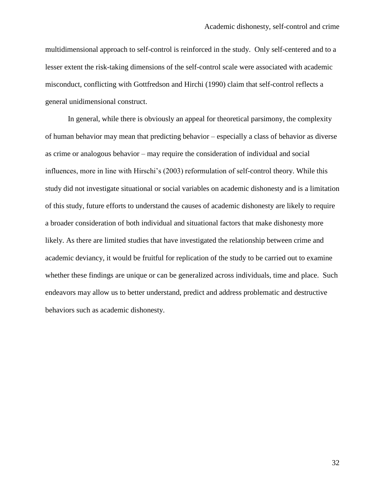multidimensional approach to self-control is reinforced in the study. Only self-centered and to a lesser extent the risk-taking dimensions of the self-control scale were associated with academic misconduct, conflicting with Gottfredson and Hirchi (1990) claim that self-control reflects a general unidimensional construct.

In general, while there is obviously an appeal for theoretical parsimony, the complexity of human behavior may mean that predicting behavior – especially a class of behavior as diverse as crime or analogous behavior – may require the consideration of individual and social influences, more in line with Hirschi"s (2003) reformulation of self-control theory. While this study did not investigate situational or social variables on academic dishonesty and is a limitation of this study, future efforts to understand the causes of academic dishonesty are likely to require a broader consideration of both individual and situational factors that make dishonesty more likely. As there are limited studies that have investigated the relationship between crime and academic deviancy, it would be fruitful for replication of the study to be carried out to examine whether these findings are unique or can be generalized across individuals, time and place. Such endeavors may allow us to better understand, predict and address problematic and destructive behaviors such as academic dishonesty.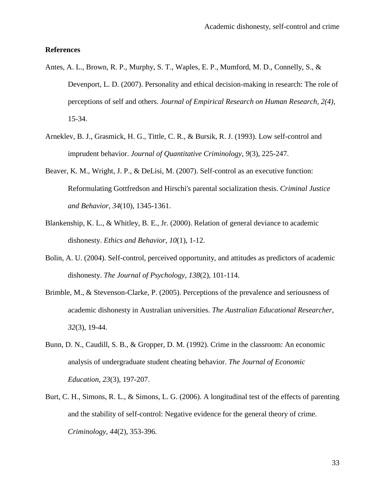## **References**

- Antes, A. L., Brown, R. P., Murphy, S. T., Waples, E. P., Mumford, M. D., Connelly, S., & Devenport, L. D. (2007). Personality and ethical decision-making in research: The role of perceptions of self and others. *Journal of Empirical Research on Human Research, 2(4),* 15-34.
- Arneklev, B. J., Grasmick, H. G., Tittle, C. R., & Bursik, R. J. (1993). Low self-control and imprudent behavior. *Journal of Quantitative Criminology*, *9*(3), 225-247.
- Beaver, K. M., Wright, J. P., & DeLisi, M. (2007). Self-control as an executive function: Reformulating Gottfredson and Hirschi's parental socialization thesis. *Criminal Justice and Behavior*, *34*(10), 1345-1361.
- Blankenship, K. L., & Whitley, B. E., Jr. (2000). Relation of general deviance to academic dishonesty. *Ethics and Behavior*, *10*(1), 1-12.
- Bolin, A. U. (2004). Self-control, perceived opportunity, and attitudes as predictors of academic dishonesty. *The Journal of Psychology*, *138*(2), 101-114.
- Brimble, M., & Stevenson-Clarke, P. (2005). Perceptions of the prevalence and seriousness of academic dishonesty in Australian universities. *The Australian Educational Researcher*, *32*(3), 19-44.
- Bunn, D. N., Caudill, S. B., & Gropper, D. M. (1992). Crime in the classroom: An economic analysis of undergraduate student cheating behavior. *The Journal of Economic Education*, *23*(3), 197-207.
- Burt, C. H., Simons, R. L., & Simons, L. G. (2006). A longitudinal test of the effects of parenting and the stability of self-control: Negative evidence for the general theory of crime. *Criminology*, *44*(2), 353-396.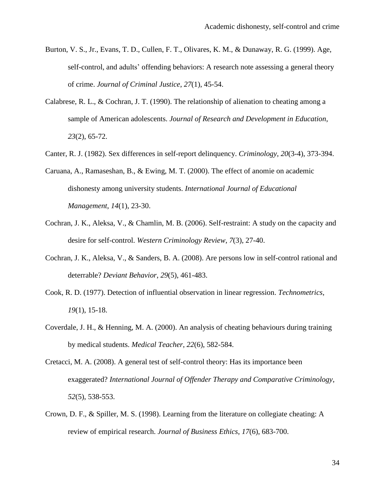- Burton, V. S., Jr., Evans, T. D., Cullen, F. T., Olivares, K. M., & Dunaway, R. G. (1999). Age, self-control, and adults" offending behaviors: A research note assessing a general theory of crime. *Journal of Criminal Justice*, *27*(1), 45-54.
- Calabrese, R. L., & Cochran, J. T. (1990). The relationship of alienation to cheating among a sample of American adolescents. *Journal of Research and Development in Education*, *23*(2), 65-72.
- Canter, R. J. (1982). Sex differences in self-report delinquency. *Criminology*, *20*(3-4), 373-394.
- Caruana, A., Ramaseshan, B., & Ewing, M. T. (2000). The effect of anomie on academic dishonesty among university students. *International Journal of Educational Management*, *14*(1), 23-30.
- Cochran, J. K., Aleksa, V., & Chamlin, M. B. (2006). Self-restraint: A study on the capacity and desire for self-control. *Western Criminology Review*, *7*(3), 27-40.
- Cochran, J. K., Aleksa, V., & Sanders, B. A. (2008). Are persons low in self-control rational and deterrable? *Deviant Behavior*, *29*(5), 461-483.
- Cook, R. D. (1977). Detection of influential observation in linear regression. *Technometrics*, *19*(1), 15-18.
- Coverdale, J. H., & Henning, M. A. (2000). An analysis of cheating behaviours during training by medical students. *Medical Teacher*, *22*(6), 582-584.
- Cretacci, M. A. (2008). A general test of self-control theory: Has its importance been exaggerated? *International Journal of Offender Therapy and Comparative Criminology*, *52*(5), 538-553.
- Crown, D. F., & Spiller, M. S. (1998). Learning from the literature on collegiate cheating: A review of empirical research. *Journal of Business Ethics*, *17*(6), 683-700.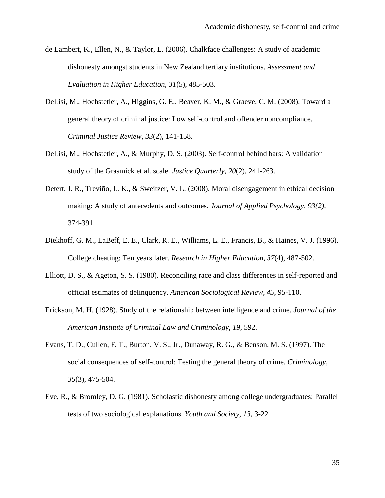- de Lambert, K., Ellen, N., & Taylor, L. (2006). Chalkface challenges: A study of academic dishonesty amongst students in New Zealand tertiary institutions. *Assessment and Evaluation in Higher Education*, *31*(5), 485-503.
- DeLisi, M., Hochstetler, A., Higgins, G. E., Beaver, K. M., & Graeve, C. M. (2008). Toward a general theory of criminal justice: Low self-control and offender noncompliance. *Criminal Justice Review*, *33*(2), 141-158.
- DeLisi, M., Hochstetler, A., & Murphy, D. S. (2003). Self-control behind bars: A validation study of the Grasmick et al. scale. *Justice Quarterly*, *20*(2), 241-263.
- Detert, J. R., Treviño, L. K., & Sweitzer, V. L. (2008). Moral disengagement in ethical decision making: A study of antecedents and outcomes. *Journal of Applied Psychology, 93(2),*  374-391.
- Diekhoff, G. M., LaBeff, E. E., Clark, R. E., Williams, L. E., Francis, B., & Haines, V. J. (1996). College cheating: Ten years later. *Research in Higher Education*, *37*(4), 487-502.
- Elliott, D. S., & Ageton, S. S. (1980). Reconciling race and class differences in self-reported and official estimates of delinquency. *American Sociological Review*, *45*, 95-110.
- Erickson, M. H. (1928). Study of the relationship between intelligence and crime. *Journal of the American Institute of Criminal Law and Criminology*, *19*, 592.
- Evans, T. D., Cullen, F. T., Burton, V. S., Jr., Dunaway, R. G., & Benson, M. S. (1997). The social consequences of self-control: Testing the general theory of crime. *Criminology*, *35*(3), 475-504.
- Eve, R., & Bromley, D. G. (1981). Scholastic dishonesty among college undergraduates: Parallel tests of two sociological explanations. *Youth and Society*, *13*, 3-22.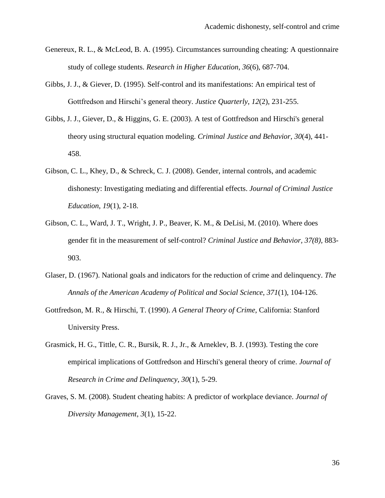- Genereux, R. L., & McLeod, B. A. (1995). Circumstances surrounding cheating: A questionnaire study of college students. *Research in Higher Education*, *36*(6), 687-704.
- Gibbs, J. J., & Giever, D. (1995). Self-control and its manifestations: An empirical test of Gottfredson and Hirschi"s general theory. *Justice Quarterly*, *12*(2), 231-255.
- Gibbs, J. J., Giever, D., & Higgins, G. E. (2003). A test of Gottfredson and Hirschi's general theory using structural equation modeling. *Criminal Justice and Behavior*, *30*(4), 441- 458.
- Gibson, C. L., Khey, D., & Schreck, C. J. (2008). Gender, internal controls, and academic dishonesty: Investigating mediating and differential effects. *Journal of Criminal Justice Education*, *19*(1), 2-18.
- Gibson, C. L., Ward, J. T., Wright, J. P., Beaver, K. M., & DeLisi, M. (2010). Where does gender fit in the measurement of self-control? *Criminal Justice and Behavior, 37(8),* 883- 903.
- Glaser, D. (1967). National goals and indicators for the reduction of crime and delinquency. *The Annals of the American Academy of Political and Social Science*, *371*(1), 104-126.
- Gottfredson, M. R., & Hirschi, T. (1990). *A General Theory of Crime*, California: Stanford University Press.
- Grasmick, H. G., Tittle, C. R., Bursik, R. J., Jr., & Arneklev, B. J. (1993). Testing the core empirical implications of Gottfredson and Hirschi's general theory of crime. *Journal of Research in Crime and Delinquency*, *30*(1), 5-29.
- Graves, S. M. (2008). Student cheating habits: A predictor of workplace deviance. *Journal of Diversity Management*, *3*(1), 15-22.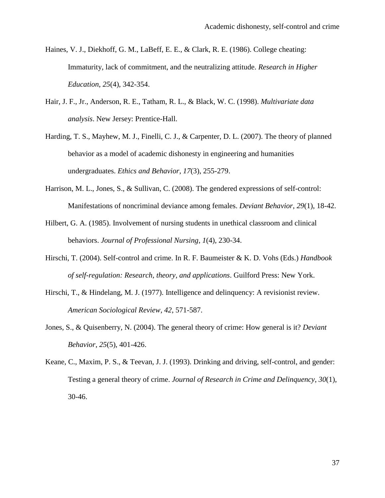- Haines, V. J., Diekhoff, G. M., LaBeff, E. E., & Clark, R. E. (1986). College cheating: Immaturity, lack of commitment, and the neutralizing attitude. *Research in Higher Education*, *25*(4), 342-354.
- Hair, J. F., Jr., Anderson, R. E., Tatham, R. L., & Black, W. C. (1998). *Multivariate data analysis*. New Jersey: Prentice-Hall.
- Harding, T. S., Mayhew, M. J., Finelli, C. J., & Carpenter, D. L. (2007). The theory of planned behavior as a model of academic dishonesty in engineering and humanities undergraduates. *Ethics and Behavior*, *17*(3), 255-279.
- Harrison, M. L., Jones, S., & Sullivan, C. (2008). The gendered expressions of self-control: Manifestations of noncriminal deviance among females. *Deviant Behavior*, *29*(1), 18-42.
- Hilbert, G. A. (1985). Involvement of nursing students in unethical classroom and clinical behaviors. *Journal of Professional Nursing*, *1*(4), 230-34.
- Hirschi, T. (2004). Self-control and crime. In R. F. Baumeister & K. D. Vohs (Eds.) *Handbook of self-regulation: Research, theory, and applications*. Guilford Press: New York.
- Hirschi, T., & Hindelang, M. J. (1977). Intelligence and delinquency: A revisionist review. *American Sociological Review*, *42*, 571-587.
- Jones, S., & Quisenberry, N. (2004). The general theory of crime: How general is it? *Deviant Behavior*, *25*(5), 401-426.
- Keane, C., Maxim, P. S., & Teevan, J. J. (1993). Drinking and driving, self-control, and gender: Testing a general theory of crime. *Journal of Research in Crime and Delinquency*, *30*(1), 30-46.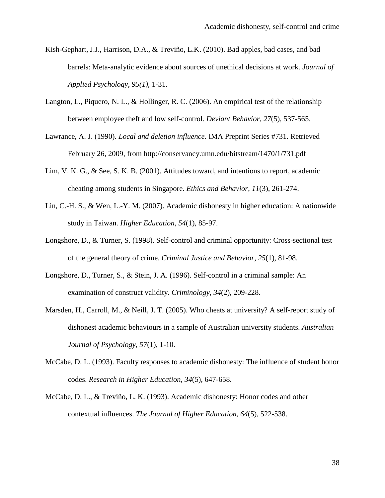- Kish-Gephart, J.J., Harrison, D.A., & Treviño, L.K. (2010). Bad apples, bad cases, and bad barrels: Meta-analytic evidence about sources of unethical decisions at work. *Journal of Applied Psychology, 95(1),* 1-31.
- Langton, L., Piquero, N. L., & Hollinger, R. C. (2006). An empirical test of the relationship between employee theft and low self-control. *Deviant Behavior*, *27*(5), 537-565.
- Lawrance, A. J. (1990). *Local and deletion influence.* IMA Preprint Series #731. Retrieved February 26, 2009, from http://conservancy.umn.edu/bitstream/1470/1/731.pdf
- Lim, V. K. G., & See, S. K. B. (2001). Attitudes toward, and intentions to report, academic cheating among students in Singapore. *Ethics and Behavior*, *11*(3), 261-274.
- Lin, C.-H. S., & Wen, L.-Y. M. (2007). Academic dishonesty in higher education: A nationwide study in Taiwan. *Higher Education*, *54*(1), 85-97.
- Longshore, D., & Turner, S. (1998). Self-control and criminal opportunity: Cross-sectional test of the general theory of crime. *Criminal Justice and Behavior*, *25*(1), 81-98.
- Longshore, D., Turner, S., & Stein, J. A. (1996). Self-control in a criminal sample: An examination of construct validity. *Criminology*, *34*(2), 209-228.
- Marsden, H., Carroll, M., & Neill, J. T. (2005). Who cheats at university? A self-report study of dishonest academic behaviours in a sample of Australian university students. *Australian Journal of Psychology*, *57*(1), 1-10.
- McCabe, D. L. (1993). Faculty responses to academic dishonesty: The influence of student honor codes. *Research in Higher Education*, *34*(5), 647-658.
- McCabe, D. L., & Treviño, L. K. (1993). Academic dishonesty: Honor codes and other contextual influences. *The Journal of Higher Education*, *64*(5), 522-538.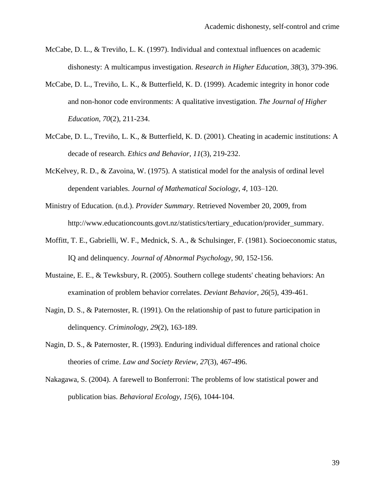- McCabe, D. L., & Treviño, L. K. (1997). Individual and contextual influences on academic dishonesty: A multicampus investigation. *Research in Higher Education*, *38*(3), 379-396.
- McCabe, D. L., Treviño, L. K., & Butterfield, K. D. (1999). Academic integrity in honor code and non-honor code environments: A qualitative investigation. *The Journal of Higher Education*, *70*(2), 211-234.
- McCabe, D. L., Treviño, L. K., & Butterfield, K. D. (2001). Cheating in academic institutions: A decade of research. *Ethics and Behavior*, *11*(3), 219-232.
- McKelvey, R. D., & Zavoina, W. (1975). A statistical model for the analysis of ordinal level dependent variables. *Journal of Mathematical Sociology*, *4*, 103–120.
- Ministry of Education. (n.d.). *Provider Summary*. Retrieved November 20, 2009, from http://www.educationcounts.govt.nz/statistics/tertiary\_education/provider\_summary.
- Moffitt, T. E., Gabrielli, W. F., Mednick, S. A., & Schulsinger, F. (1981). Socioeconomic status, IQ and delinquency. *Journal of Abnormal Psychology*, *90*, 152-156.
- Mustaine, E. E., & Tewksbury, R. (2005). Southern college students' cheating behaviors: An examination of problem behavior correlates. *Deviant Behavior*, *26*(5), 439-461.
- Nagin, D. S., & Paternoster, R. (1991). On the relationship of past to future participation in delinquency. *Criminology*, *29*(2), 163-189.
- Nagin, D. S., & Paternoster, R. (1993). Enduring individual differences and rational choice theories of crime. *Law and Society Review*, *27*(3), 467-496.
- Nakagawa, S. (2004). A farewell to Bonferroni: The problems of low statistical power and publication bias. *Behavioral Ecology*, *15*(6), 1044-104.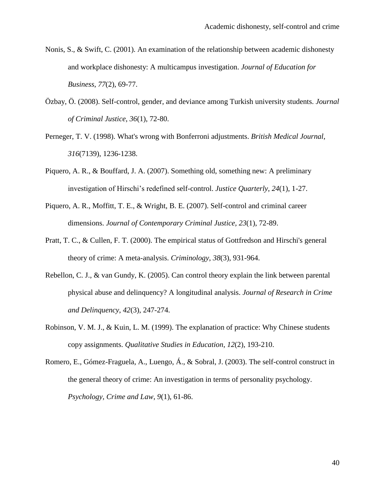- Nonis, S., & Swift, C. (2001). An examination of the relationship between academic dishonesty and workplace dishonesty: A multicampus investigation. *Journal of Education for Business*, *77*(2), 69-77.
- Özbay, Ö. (2008). Self-control, gender, and deviance among Turkish university students. *Journal of Criminal Justice*, *36*(1), 72-80.
- Perneger, T. V. (1998). What's wrong with Bonferroni adjustments. *British Medical Journal*, *316*(7139), 1236-1238.
- Piquero, A. R., & Bouffard, J. A. (2007). Something old, something new: A preliminary investigation of Hirschi"s redefined self-control. *Justice Quarterly*, *24*(1), 1-27.
- Piquero, A. R., Moffitt, T. E., & Wright, B. E. (2007). Self-control and criminal career dimensions. *Journal of Contemporary Criminal Justice, 23*(1), 72-89.
- Pratt, T. C., & Cullen, F. T. (2000). The empirical status of Gottfredson and Hirschi's general theory of crime: A meta-analysis. *Criminology*, *38*(3), 931-964.
- Rebellon, C. J., & van Gundy, K. (2005). Can control theory explain the link between parental physical abuse and delinquency? A longitudinal analysis. *Journal of Research in Crime and Delinquency*, *42*(3), 247-274.
- Robinson, V. M. J., & Kuin, L. M. (1999). The explanation of practice: Why Chinese students copy assignments. *Qualitative Studies in Education*, *12*(2), 193-210.
- Romero, E., Gómez-Fraguela, A., Luengo, Á., & Sobral, J. (2003). The self-control construct in the general theory of crime: An investigation in terms of personality psychology. *Psychology, Crime and Law*, *9*(1), 61-86.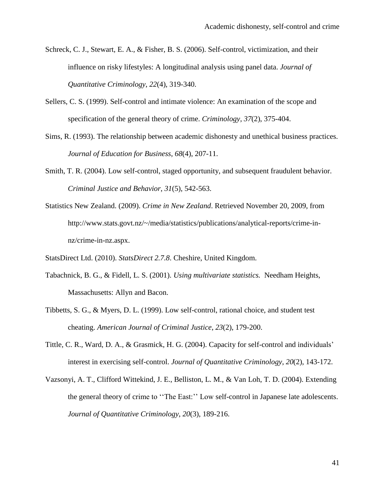- Schreck, C. J., Stewart, E. A., & Fisher, B. S. (2006). Self-control, victimization, and their influence on risky lifestyles: A longitudinal analysis using panel data. *Journal of Quantitative Criminology*, *22*(4), 319-340.
- Sellers, C. S. (1999). Self-control and intimate violence: An examination of the scope and specification of the general theory of crime. *Criminology*, *37*(2), 375-404.
- Sims, R. (1993). The relationship between academic dishonesty and unethical business practices. *Journal of Education for Business*, *68*(4), 207-11.
- Smith, T. R. (2004). Low self-control, staged opportunity, and subsequent fraudulent behavior. *Criminal Justice and Behavior*, *31*(5), 542-563.
- Statistics New Zealand. (2009). *Crime in New Zealand*. Retrieved November 20, 2009, from http://www.stats.govt.nz/~/media/statistics/publications/analytical-reports/crime-innz/crime-in-nz.aspx.
- StatsDirect Ltd. (2010). *StatsDirect 2.7.8*. Cheshire, United Kingdom.
- Tabachnick, B. G., & Fidell, L. S. (2001). *Using multivariate statistics.* Needham Heights, Massachusetts: Allyn and Bacon.
- Tibbetts, S. G., & Myers, D. L. (1999). Low self-control, rational choice, and student test cheating. *American Journal of Criminal Justice*, *23*(2), 179-200.
- Tittle, C. R., Ward, D. A., & Grasmick, H. G. (2004). Capacity for self-control and individuals" interest in exercising self-control. *Journal of Quantitative Criminology*, *20*(2), 143-172.
- Vazsonyi, A. T., Clifford Wittekind, J. E., Belliston, L. M., & Van Loh, T. D. (2004). Extending the general theory of crime to ""The East:"" Low self-control in Japanese late adolescents. *Journal of Quantitative Criminology*, *20*(3), 189-216.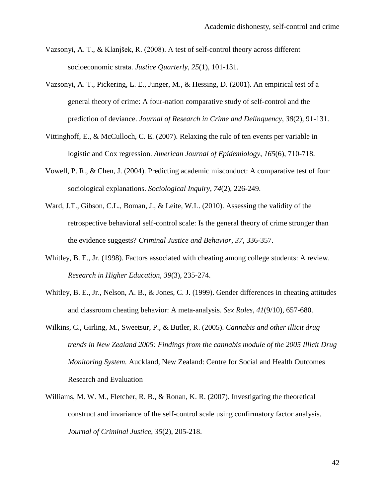- Vazsonyi, A. T., & Klanjšek, R. (2008). A test of self-control theory across different socioeconomic strata. *Justice Quarterly*, *25*(1), 101-131.
- Vazsonyi, A. T., Pickering, L. E., Junger, M., & Hessing, D. (2001). An empirical test of a general theory of crime: A four-nation comparative study of self-control and the prediction of deviance. *Journal of Research in Crime and Delinquency*, *38*(2), 91-131.
- Vittinghoff, E., & McCulloch, C. E. (2007). Relaxing the rule of ten events per variable in logistic and Cox regression. *American Journal of Epidemiology*, *165*(6), 710-718.
- Vowell, P. R., & Chen, J. (2004). Predicting academic misconduct: A comparative test of four sociological explanations. *Sociological Inquiry*, *74*(2), 226-249.
- Ward, J.T., Gibson, C.L., Boman, J., & Leite, W.L. (2010). Assessing the validity of the retrospective behavioral self-control scale: Is the general theory of crime stronger than the evidence suggests? *Criminal Justice and Behavior, 37,* 336-357.
- Whitley, B. E., Jr. (1998). Factors associated with cheating among college students: A review. *Research in Higher Education*, *39*(3), 235-274.
- Whitley, B. E., Jr., Nelson, A. B., & Jones, C. J. (1999). Gender differences in cheating attitudes and classroom cheating behavior: A meta-analysis. *Sex Roles*, *41*(9/10), 657-680.
- Wilkins, C., Girling, M., Sweetsur, P., & Butler, R. (2005). *Cannabis and other illicit drug trends in New Zealand 2005: Findings from the cannabis module of the 2005 Illicit Drug Monitoring System.* Auckland, New Zealand: Centre for Social and Health Outcomes Research and Evaluation
- Williams, M. W. M., Fletcher, R. B., & Ronan, K. R. (2007). Investigating the theoretical construct and invariance of the self-control scale using confirmatory factor analysis. *Journal of Criminal Justice*, *35*(2), 205-218.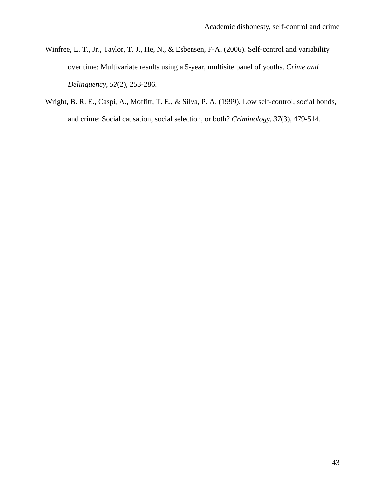- Winfree, L. T., Jr., Taylor, T. J., He, N., & Esbensen, F-A. (2006). Self-control and variability over time: Multivariate results using a 5-year, multisite panel of youths. *Crime and Delinquency*, *52*(2), 253-286.
- Wright, B. R. E., Caspi, A., Moffitt, T. E., & Silva, P. A. (1999). Low self-control, social bonds, and crime: Social causation, social selection, or both? *Criminology*, *37*(3), 479-514.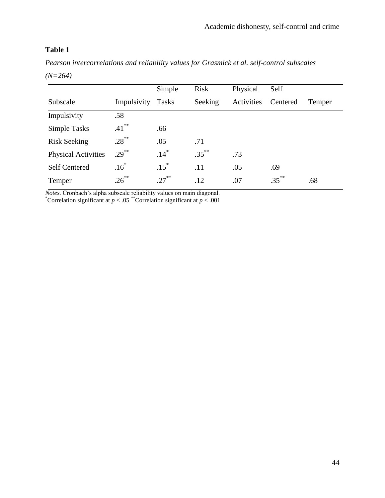*Pearson intercorrelations and reliability values for Grasmick et al. self-control subscales* 

*(N=264)*

|                            |             | Simple       | Risk     | Physical   | Self     |        |
|----------------------------|-------------|--------------|----------|------------|----------|--------|
| Subscale                   | Impulsivity | <b>Tasks</b> | Seeking  | Activities | Centered | Temper |
| Impulsivity                | .58         |              |          |            |          |        |
| Simple Tasks               | $.41***$    | .66          |          |            |          |        |
| <b>Risk Seeking</b>        | $.28***$    | .05          | .71      |            |          |        |
| <b>Physical Activities</b> | $.29***$    | $.14*$       | $.35***$ | .73        |          |        |
| <b>Self Centered</b>       | $.16^*$     | $.15*$       | .11      | .05        | .69      |        |
| Temper                     | $.26***$    | $27^{**}$    | .12      | .07        | $.35***$ | .68    |

*Notes*. Cronbach"s alpha subscale reliability values on main diagonal.

\*Correlation significant at  $p < .05$  \*\*Correlation significant at  $p < .001$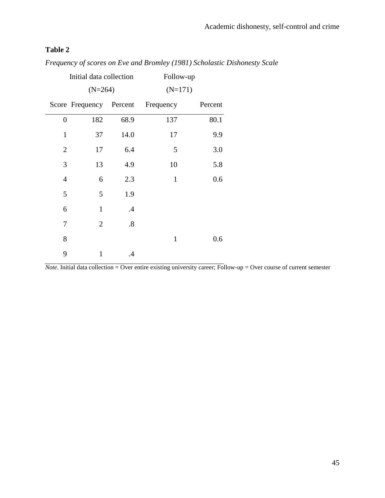*Frequency of scores on Eve and Bromley (1981) Scholastic Dishonesty Scale*

| Initial data collection |                         |         | Follow-up    |         |
|-------------------------|-------------------------|---------|--------------|---------|
|                         | $(N=264)$               |         | $(N=171)$    |         |
|                         | Score Frequency Percent |         | Frequency    | Percent |
| 0                       | 182                     | 68.9    | 137          | 80.1    |
| $\mathbf{1}$            | 37                      | 14.0    | 17           | 9.9     |
| $\overline{2}$          | 17                      | 6.4     | 5            | 3.0     |
| $\mathfrak{Z}$          | 13                      | 4.9     | 10           | 5.8     |
| $\overline{4}$          | 6                       | 2.3     | $\mathbf{1}$ | 0.6     |
| 5                       | 5                       | 1.9     |              |         |
| 6                       | $\mathbf{1}$            | .4      |              |         |
| 7                       | $\overline{2}$          | .8      |              |         |
| 8                       |                         |         | $\mathbf{1}$ | 0.6     |
| 9                       | $\mathbf{1}$            | $\cdot$ |              |         |
|                         |                         |         |              |         |

*Note*. Initial data collection = Over entire existing university career; Follow-up = Over course of current semester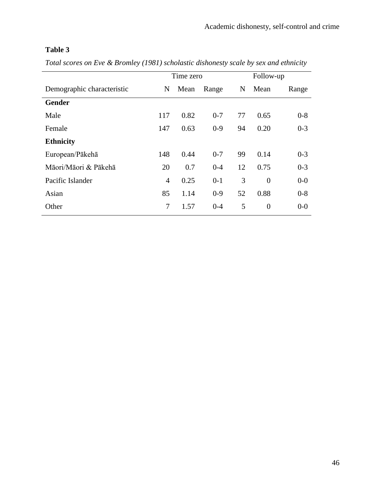*Total scores on Eve & Bromley (1981) scholastic dishonesty scale by sex and ethnicity*

|                |      |         |           | Follow-up      |         |
|----------------|------|---------|-----------|----------------|---------|
| N              | Mean | Range   | N         | Mean           | Range   |
|                |      |         |           |                |         |
| 117            | 0.82 | $0 - 7$ | 77        | 0.65           | $0 - 8$ |
| 147            | 0.63 | $0 - 9$ | 94        | 0.20           | $0 - 3$ |
|                |      |         |           |                |         |
| 148            | 0.44 | $0 - 7$ | 99        | 0.14           | $0 - 3$ |
| 20             | 0.7  | $0 - 4$ | 12        | 0.75           | $0 - 3$ |
| $\overline{4}$ | 0.25 | $0-1$   | 3         | $\overline{0}$ | $0 - 0$ |
| 85             | 1.14 | $0 - 9$ | 52        | 0.88           | $0 - 8$ |
| 7              | 1.57 | $0 - 4$ | 5         | $\overline{0}$ | $0 - 0$ |
|                |      |         | Time zero |                |         |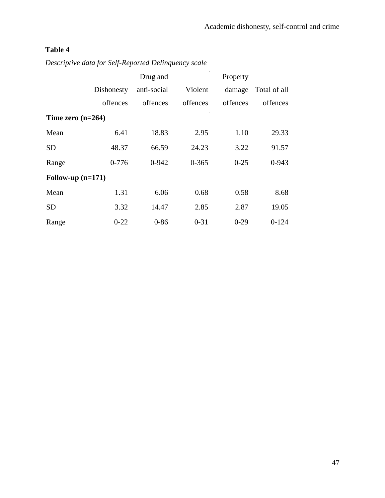|                     |            | Drug and    |           | Property |              |
|---------------------|------------|-------------|-----------|----------|--------------|
|                     | Dishonesty | anti-social | Violent   | damage   | Total of all |
|                     | offences   | offences    | offences  | offences | offences     |
| Time zero $(n=264)$ |            |             |           |          |              |
| Mean                | 6.41       | 18.83       | 2.95      | 1.10     | 29.33        |
| <b>SD</b>           | 48.37      | 66.59       | 24.23     | 3.22     | 91.57        |
| Range               | $0 - 776$  | $0 - 942$   | $0 - 365$ | $0 - 25$ | $0-943$      |
| Follow-up $(n=171)$ |            |             |           |          |              |
| Mean                | 1.31       | 6.06        | 0.68      | 0.58     | 8.68         |
| <b>SD</b>           | 3.32       | 14.47       | 2.85      | 2.87     | 19.05        |
| Range               | $0 - 22$   | $0 - 86$    | $0 - 31$  | $0-29$   | $0 - 124$    |

*Descriptive data for Self-Reported Delinquency scale*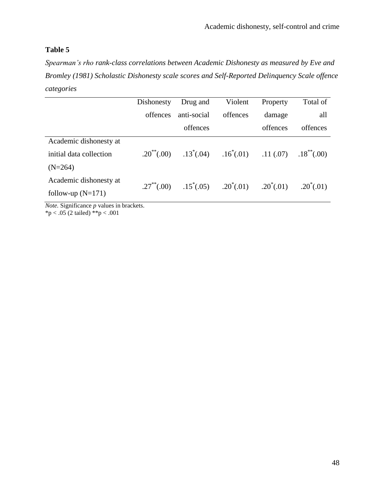*Spearman's rho rank-class correlations between Academic Dishonesty as measured by Eve and Bromley (1981) Scholastic Dishonesty scale scores and Self-Reported Delinquency Scale offence categories* 

|                         | Dishonesty       | Drug and    | Violent                                | Property                                             | Total of     |
|-------------------------|------------------|-------------|----------------------------------------|------------------------------------------------------|--------------|
|                         | offences         | anti-social | offences                               | damage                                               | all          |
|                         |                  | offences    |                                        | offences                                             | offences     |
| Academic dishonesty at  |                  |             |                                        |                                                      |              |
| initial data collection | $.20^{**}(.00)$  |             |                                        | $.13^*(.04)$ $.16^*(.01)$ $.11(.07)$ $.18^{**}(.00)$ |              |
| $(N=264)$               |                  |             |                                        |                                                      |              |
| Academic dishonesty at  | $.27$ ** $(.00)$ |             | $.15^*(.05)$ $.20^*(.01)$ $.20^*(.01)$ |                                                      | $.20^*(.01)$ |
| follow-up $(N=171)$     |                  |             |                                        |                                                      |              |

*Note.* Significance *p* values in brackets. \*p < .05 (2 tailed) \*\*p < .001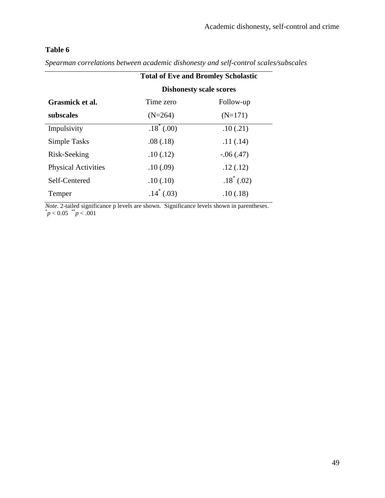|                            | <b>Total of Eve and Bromley Scholastic</b> |              |  |  |  |
|----------------------------|--------------------------------------------|--------------|--|--|--|
|                            | <b>Dishonesty scale scores</b>             |              |  |  |  |
| Grasmick et al.            | Time zero                                  | Follow-up    |  |  |  |
| subscales                  | $(N=264)$                                  | $(N=171)$    |  |  |  |
| Impulsivity                | $.18^*(.00)$                               | .10(.21)     |  |  |  |
| Simple Tasks               | .08(.18)                                   | .11(.14)     |  |  |  |
| Risk-Seeking               | .10(.12)                                   | $-.06(.47)$  |  |  |  |
| <b>Physical Activities</b> | .10(0.09)                                  | .12(.12)     |  |  |  |
| Self-Centered              | .10(.10)                                   | $.18^*(.02)$ |  |  |  |
| Temper                     | $.14^*$ (.03)                              | .10(.18)     |  |  |  |

*Spearman correlations between academic dishonesty and self-control scales/subscales*

*Note.* 2-tailed significance p levels are shown. Significance levels shown in parentheses.<br>  $\dot{p}$  < 0.05  $\dot{p}$  × .001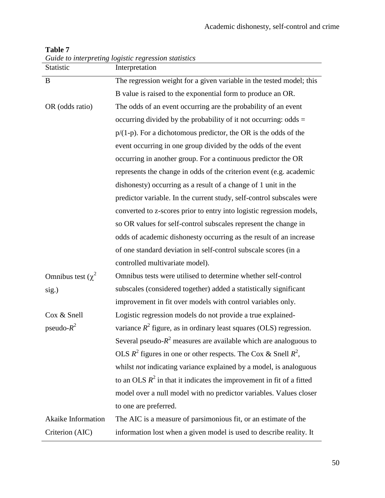<u> 1980 - Johann Barbara, martxa amerikan per</u>

| Н<br>п<br>H<br>π<br>× |  |
|-----------------------|--|
|-----------------------|--|

*Guide to interpreting logistic regression statistics*

| Statistic                 | Interpretation                                                            |
|---------------------------|---------------------------------------------------------------------------|
| B                         | The regression weight for a given variable in the tested model; this      |
|                           | B value is raised to the exponential form to produce an OR.               |
| OR (odds ratio)           | The odds of an event occurring are the probability of an event            |
|                           | occurring divided by the probability of it not occurring: odds $=$        |
|                           | $p/(1-p)$ . For a dichotomous predictor, the OR is the odds of the        |
|                           | event occurring in one group divided by the odds of the event             |
|                           | occurring in another group. For a continuous predictor the OR             |
|                           | represents the change in odds of the criterion event (e.g. academic       |
|                           | dishonesty) occurring as a result of a change of 1 unit in the            |
|                           | predictor variable. In the current study, self-control subscales were     |
|                           | converted to z-scores prior to entry into logistic regression models,     |
|                           | so OR values for self-control subscales represent the change in           |
|                           | odds of academic dishonesty occurring as the result of an increase        |
|                           | of one standard deviation in self-control subscale scores (in a           |
|                           | controlled multivariate model).                                           |
| Omnibus test $(\chi^2)$   | Omnibus tests were utilised to determine whether self-control             |
| sig.)                     | subscales (considered together) added a statistically significant         |
|                           | improvement in fit over models with control variables only.               |
| Cox & Snell               | Logistic regression models do not provide a true explained-               |
| pseudo- $R^2$             | variance $R^2$ figure, as in ordinary least squares (OLS) regression.     |
|                           | Several pseudo- $R^2$ measures are available which are analoguous to      |
|                           | OLS $R^2$ figures in one or other respects. The Cox & Snell $R^2$ ,       |
|                           | whilst <i>not</i> indicating variance explained by a model, is analoguous |
|                           | to an OLS $R^2$ in that it indicates the improvement in fit of a fitted   |
|                           | model over a null model with no predictor variables. Values closer        |
|                           | to one are preferred.                                                     |
| <b>Akaike Information</b> | The AIC is a measure of parsimonious fit, or an estimate of the           |
| Criterion (AIC)           | information lost when a given model is used to describe reality. It       |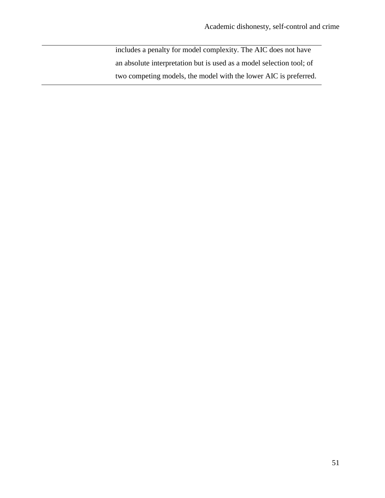includes a penalty for model complexity. The AIC does not have an absolute interpretation but is used as a model selection tool; of two competing models, the model with the lower AIC is preferred.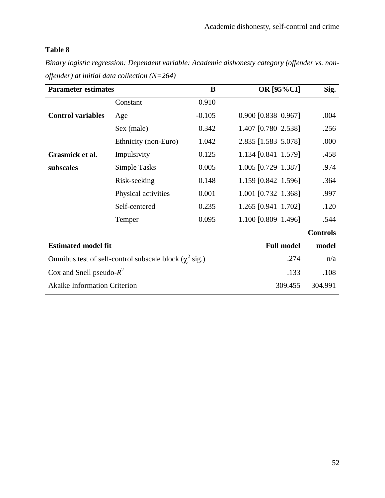*Binary logistic regression: Dependent variable: Academic dishonesty category (offender vs. nonoffender) at initial data collection (N=264)*

| <b>Parameter estimates</b>                                   |                      | $\bf{B}$ | <b>OR [95%CI]</b>     | Sig.            |
|--------------------------------------------------------------|----------------------|----------|-----------------------|-----------------|
|                                                              | Constant             | 0.910    |                       |                 |
| <b>Control variables</b>                                     | Age                  | $-0.105$ | $0.900$ [0.838-0.967] | .004            |
|                                                              | Sex (male)           | 0.342    | 1.407 [0.780-2.538]   | .256            |
|                                                              | Ethnicity (non-Euro) | 1.042    | 2.835 [1.583-5.078]   | .000            |
| Grasmick et al.                                              | Impulsivity          | 0.125    | $1.134$ [0.841-1.579] | .458            |
| subscales                                                    | Simple Tasks         | 0.005    | $1.005$ [0.729-1.387] | .974            |
|                                                              | Risk-seeking         | 0.148    | $1.159$ [0.842-1.596] | .364            |
|                                                              | Physical activities  | 0.001    | 1.001 [0.732-1.368]   | .997            |
|                                                              | Self-centered        | 0.235    | $1.265$ [0.941-1.702] | .120            |
|                                                              | Temper               | 0.095    | $1.100$ [0.809-1.496] | .544            |
|                                                              |                      |          |                       | <b>Controls</b> |
| <b>Estimated model fit</b>                                   |                      |          | <b>Full model</b>     | model           |
| Omnibus test of self-control subscale block ( $\chi^2$ sig.) |                      |          | .274                  | n/a             |
| Cox and Snell pseudo- $R^2$                                  |                      | .133     | .108                  |                 |
| <b>Akaike Information Criterion</b>                          |                      |          | 309.455               | 304.991         |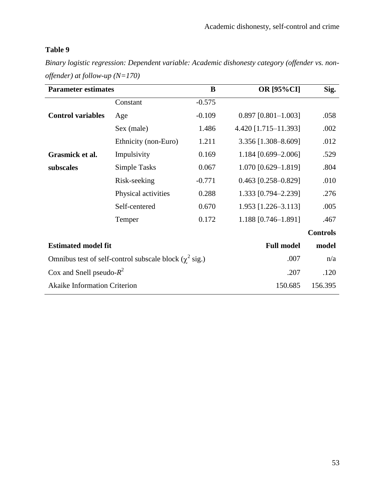*Binary logistic regression: Dependent variable: Academic dishonesty category (offender vs. nonoffender) at follow-up (N=170)*

| <b>Parameter estimates</b>                                          |                      | B        | <b>OR [95%CI]</b>     | Sig.            |
|---------------------------------------------------------------------|----------------------|----------|-----------------------|-----------------|
|                                                                     | Constant             | $-0.575$ |                       |                 |
| <b>Control variables</b>                                            | Age                  | $-0.109$ | $0.897$ [0.801-1.003] | .058            |
|                                                                     | Sex (male)           | 1.486    | 4.420 [1.715-11.393]  | .002            |
|                                                                     | Ethnicity (non-Euro) | 1.211    | 3.356 [1.308-8.609]   | .012            |
| Grasmick et al.                                                     | Impulsivity          | 0.169    | $1.184$ [0.699-2.006] | .529            |
| subscales                                                           | Simple Tasks         | 0.067    | 1.070 [0.629-1.819]   | .804            |
|                                                                     | Risk-seeking         | $-0.771$ | $0.463$ [0.258-0.829] | .010            |
|                                                                     | Physical activities  | 0.288    | 1.333 [0.794-2.239]   | .276            |
|                                                                     | Self-centered        | 0.670    | 1.953 [1.226-3.113]   | .005            |
|                                                                     | Temper               | 0.172    | 1.188 [0.746-1.891]   | .467            |
|                                                                     |                      |          |                       | <b>Controls</b> |
| <b>Estimated model fit</b>                                          |                      |          | <b>Full model</b>     | model           |
| Omnibus test of self-control subscale block $(\chi^2 \text{ sig.})$ |                      |          | .007                  | n/a             |
| Cox and Snell pseudo- $R^2$                                         |                      |          | .207                  | .120            |
| <b>Akaike Information Criterion</b>                                 |                      |          | 150.685               | 156.395         |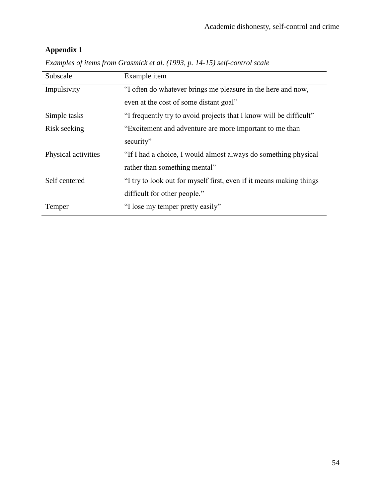# **Appendix 1**

| Example item                                                        |
|---------------------------------------------------------------------|
| "I often do whatever brings me pleasure in the here and now,        |
| even at the cost of some distant goal"                              |
| "I frequently try to avoid projects that I know will be difficult"  |
| "Excitement and adventure are more important to me than             |
| security"                                                           |
| "If I had a choice, I would almost always do something physical     |
| rather than something mental"                                       |
| "I try to look out for myself first, even if it means making things |
| difficult for other people."                                        |
| "I lose my temper pretty easily"                                    |
|                                                                     |

*Examples of items from Grasmick et al. (1993, p. 14-15) self-control scale*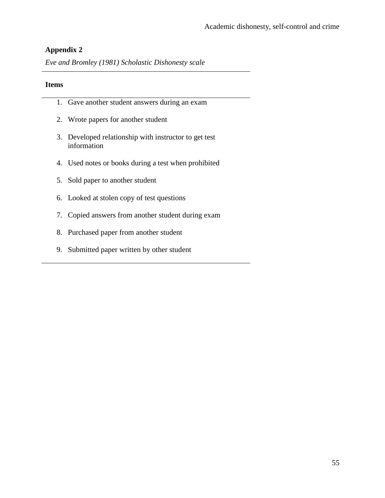# **Appendix 2**

*Eve and Bromley (1981) Scholastic Dishonesty scale* 

# **Items**

- 1. Gave another student answers during an exam
- 2. Wrote papers for another student
- 3. Developed relationship with instructor to get test information
- 4. Used notes or books during a test when prohibited
- 5. Sold paper to another student
- 6. Looked at stolen copy of test questions
- 7. Copied answers from another student during exam
- 8. Purchased paper from another student
- 9. Submitted paper written by other student